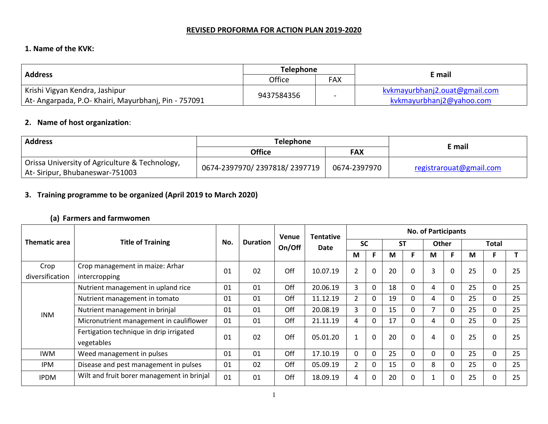#### **REVISED PROFORMA FOR ACTION PLAN 2019-2020**

### **1. Name of the KVK:**

|                                                    | <b>Telephone</b> |            |                               |
|----------------------------------------------------|------------------|------------|-------------------------------|
| <b>Address</b>                                     | Office           | <b>FAX</b> | E mail                        |
| Krishi Vigyan Kendra, Jashipur                     | 9437584356       |            | kvkmayurbhanj2.ouat@gmail.com |
| At-Angarpada, P.O-Khairi, Mayurbhanj, Pin - 757091 |                  | $\sim$     | kvkmayurbhanj2@yahoo.com      |

### **2. Name of host organization**:

| <b>Address</b>                                                                   | <b>Telephone</b>             |              |                         |
|----------------------------------------------------------------------------------|------------------------------|--------------|-------------------------|
|                                                                                  | <b>Office</b>                | FAX          | E mail                  |
| Orissa University of Agriculture & Technology,<br>At-Siripur, Bhubaneswar-751003 | 0674-2397970/2397818/2397719 | 0674-2397970 | registrarouat@gmail.com |

# **3. Training programme to be organized (April 2019 to March 2020)**

## **(a) Farmers and farmwomen**

|                      |                                                                               |     |                 | Venue  | <b>Tentative</b> |                |              |           |          | <b>No. of Participants</b> |             |    |       |    |
|----------------------|-------------------------------------------------------------------------------|-----|-----------------|--------|------------------|----------------|--------------|-----------|----------|----------------------------|-------------|----|-------|----|
| <b>Thematic area</b> | <b>Title of Training</b>                                                      | No. | <b>Duration</b> | On/Off | Date             | <b>SC</b>      |              | <b>ST</b> |          | <b>Other</b>               |             |    | Total |    |
|                      |                                                                               |     |                 |        |                  | М              | F            | M         |          | M                          |             | M  |       |    |
| Crop                 | Crop management in maize: Arhar                                               | 01  | 02              | Off    | 10.07.19         | $\overline{2}$ | $\mathbf 0$  | 20        | $\Omega$ | 3                          | $\mathbf 0$ | 25 |       | 25 |
| diversification      | intercropping                                                                 |     |                 |        |                  |                |              |           |          |                            |             |    |       |    |
|                      | Nutrient management in upland rice                                            | 01  | 01              | Off    | 20.06.19         | 3              | 0            | 18        |          |                            | 0           | 25 | 0     | 25 |
|                      | Nutrient management in tomato<br>Nutrient management in brinjal<br><b>INM</b> | 01  | 01              | Off    | 11.12.19         | $\overline{2}$ | $\Omega$     | 19        |          | 4                          | 0           | 25 | 0     | 25 |
|                      |                                                                               | 01  | 01              | Off    | 20.08.19         | 3              | 0            | 15        |          |                            | $\Omega$    | 25 | 0     | 25 |
|                      | Micronutrient management in cauliflower                                       | 01  | 01              | Off    | 21.11.19         | 4              | $\Omega$     | 17        | $\Omega$ | 4                          | $\Omega$    | 25 | 0     | 25 |
|                      | Fertigation technique in drip irrigated                                       | 01  | 02              | Off    | 05.01.20         |                | $\Omega$     | 20        | 0        | 4                          | $\mathbf 0$ | 25 |       | 25 |
|                      | vegetables                                                                    |     |                 |        |                  |                |              |           |          |                            |             |    |       |    |
| <b>IWM</b>           | Weed management in pulses                                                     | 01  | 01              | Off    | 17.10.19         | $\Omega$       | $\mathbf 0$  | 25        | $\Omega$ |                            | $\Omega$    | 25 | 0     | 25 |
| <b>IPM</b>           | Disease and pest management in pulses                                         | 01  | 02              | Off    | 05.09.19         | $\overline{2}$ | $\Omega$     | 15        |          | 8                          | 0           | 25 | 0     | 25 |
| <b>IPDM</b>          | Wilt and fruit borer management in brinjal                                    | 01  | 01              | Off    | 18.09.19         | 4              | $\mathbf{0}$ | 20        |          |                            | $\Omega$    | 25 |       | 25 |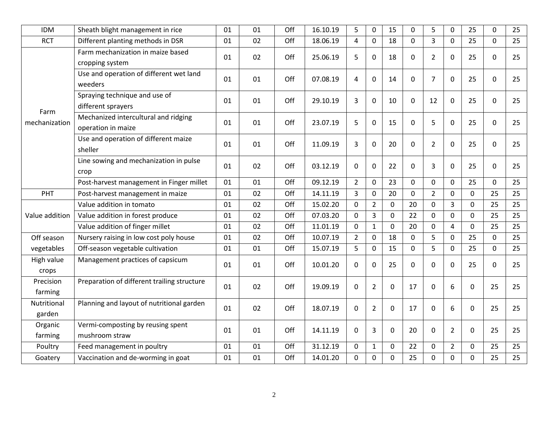| <b>IDM</b>            | Sheath blight management in rice                           | 01 | 01 | Off | 16.10.19 | 5              | $\mathbf 0$    | 15          | 0              | 5              | 0              | 25             | $\mathbf 0$    | 25 |
|-----------------------|------------------------------------------------------------|----|----|-----|----------|----------------|----------------|-------------|----------------|----------------|----------------|----------------|----------------|----|
| <b>RCT</b>            | Different planting methods in DSR                          | 01 | 02 | Off | 18.06.19 | 4              | $\mathbf{0}$   | 18          | $\overline{0}$ | $\overline{3}$ | $\mathbf 0$    | 25             | $\overline{0}$ | 25 |
|                       | Farm mechanization in maize based<br>cropping system       | 01 | 02 | Off | 25.06.19 | 5              | $\mathbf 0$    | 18          | 0              | $\overline{2}$ | 0              | 25             | 0              | 25 |
|                       | Use and operation of different wet land<br>weeders         | 01 | 01 | Off | 07.08.19 | 4              | $\mathbf 0$    | 14          | $\mathbf 0$    | $\overline{7}$ | $\mathbf 0$    | 25             | 0              | 25 |
| Farm                  | Spraying technique and use of<br>different sprayers        | 01 | 01 | Off | 29.10.19 | 3              | $\mathbf 0$    | 10          | $\mathbf{0}$   | 12             | 0              | 25             | $\mathbf{0}$   | 25 |
| mechanization         | Mechanized intercultural and ridging<br>operation in maize | 01 | 01 | Off | 23.07.19 | 5              | $\mathbf 0$    | 15          | 0              | 5              | $\mathbf 0$    | 25             | 0              | 25 |
|                       | Use and operation of different maize<br>sheller            | 01 | 01 | Off | 11.09.19 | 3              | $\mathbf 0$    | 20          | 0              | $\overline{2}$ | 0              | 25             | 0              | 25 |
|                       | Line sowing and mechanization in pulse<br>crop             | 01 | 02 | Off | 03.12.19 | $\mathbf 0$    | $\mathbf 0$    | 22          | 0              | 3              | $\Omega$       | 25             | 0              | 25 |
|                       | Post-harvest management in Finger millet                   | 01 | 01 | Off | 09.12.19 | $\overline{2}$ | $\mathbf 0$    | 23          | 0              | $\Omega$       | 0              | 25             | $\mathbf 0$    | 25 |
| PHT                   | Post-harvest management in maize                           | 01 | 02 | Off | 14.11.19 | 3              | $\mathbf 0$    | 20          | 0              | $\overline{2}$ | 0              | 0              | 25             | 25 |
|                       | Value addition in tomato                                   | 01 | 02 | Off | 15.02.20 | $\mathbf 0$    | $\overline{2}$ | $\mathbf 0$ | 20             | 0              | 3              | $\mathbf 0$    | 25             | 25 |
| Value addition        | Value addition in forest produce                           | 01 | 02 | Off | 07.03.20 | $\mathbf 0$    | 3              | 0           | 22             | 0              | 0              | $\mathbf 0$    | 25             | 25 |
|                       | Value addition of finger millet                            | 01 | 02 | Off | 11.01.19 | $\Omega$       | $\mathbf{1}$   | $\mathbf 0$ | 20             | 0              | 4              | $\Omega$       | 25             | 25 |
| Off season            | Nursery raising in low cost poly house                     | 01 | 02 | Off | 10.07.19 | $\overline{2}$ | $\mathbf 0$    | 18          | 0              | 5              | $\Omega$       | 25             | 0              | 25 |
| vegetables            | Off-season vegetable cultivation                           | 01 | 01 | Off | 15.07.19 | 5              | $\pmb{0}$      | 15          | $\mathbf 0$    | 5              | 0              | 25             | 0              | 25 |
| High value<br>crops   | Management practices of capsicum                           | 01 | 01 | Off | 10.01.20 | $\mathbf{0}$   | $\mathbf 0$    | 25          | 0              | 0              | $\Omega$       | 25             | $\Omega$       | 25 |
| Precision<br>farming  | Preparation of different trailing structure                | 01 | 02 | Off | 19.09.19 | $\mathbf 0$    | $\overline{2}$ | $\mathbf 0$ | 17             | $\mathbf 0$    | 6              | $\mathbf 0$    | 25             | 25 |
| Nutritional<br>garden | Planning and layout of nutritional garden                  | 01 | 02 | Off | 18.07.19 | $\mathbf 0$    | $\overline{2}$ | 0           | 17             | 0              | 6              | $\mathbf 0$    | 25             | 25 |
| Organic<br>farming    | Vermi-composting by reusing spent<br>mushroom straw        | 01 | 01 | Off | 14.11.19 | 0              | 3              | 0           | 20             | 0              | $\overline{2}$ | 0              | 25             | 25 |
| Poultry               | Feed management in poultry                                 | 01 | 01 | Off | 31.12.19 | $\Omega$       | $\mathbf{1}$   | $\Omega$    | 22             | $\Omega$       | $\overline{2}$ | $\overline{0}$ | 25             | 25 |
| Goatery               | Vaccination and de-worming in goat                         | 01 | 01 | Off | 14.01.20 | 0              | $\pmb{0}$      | 0           | 25             | $\Omega$       | 0              | 0              | 25             | 25 |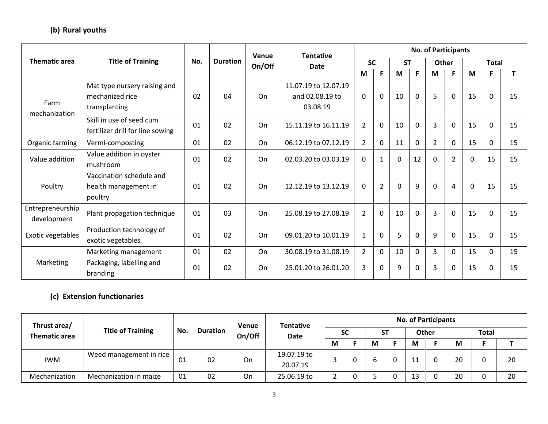# **(b) Rural youths**

|                                   |                                                                  |     |                 | <b>Venue</b> | <b>Tentative</b>                                    |                |                |           |             | <b>No. of Participants</b> |                |          |              |    |
|-----------------------------------|------------------------------------------------------------------|-----|-----------------|--------------|-----------------------------------------------------|----------------|----------------|-----------|-------------|----------------------------|----------------|----------|--------------|----|
| <b>Thematic area</b>              | <b>Title of Training</b>                                         | No. | <b>Duration</b> | On/Off       | Date                                                | <b>SC</b>      |                | <b>ST</b> |             | <b>Other</b>               |                |          | <b>Total</b> |    |
|                                   |                                                                  |     |                 |              |                                                     | M              | F              | M         | F           | M                          | F.             | M        | F            | T. |
| Farm<br>mechanization             | Mat type nursery raising and<br>mechanized rice<br>transplanting | 02  | 04              | On           | 11.07.19 to 12.07.19<br>and 02.08.19 to<br>03.08.19 | $\Omega$       | $\mathbf 0$    | 10        | $\mathbf 0$ | 5                          | $\mathbf{0}$   | 15       | $\Omega$     | 15 |
| Organic farming<br>Value addition | Skill in use of seed cum<br>fertilizer drill for line sowing     | 01  | 02              | On           | 15.11.19 to 16.11.19                                | $\overline{2}$ | $\mathbf 0$    | 10        | $\Omega$    | $\overline{3}$             | $\Omega$       | 15       | $\Omega$     | 15 |
|                                   | Vermi-composting                                                 | 01  | 02              | On           | 06.12.19 to 07.12.19                                | $\overline{2}$ | $\Omega$       | 11        | $\Omega$    | $\overline{2}$             | $\Omega$       | 15       | $\Omega$     | 15 |
|                                   | Value addition in oyster<br>mushroom                             | 01  | 02              | On           | 02.03.20 to 03.03.19                                | $\mathbf{0}$   | 1              | 0         | 12          | $\mathbf 0$                | $\overline{2}$ | $\Omega$ | 15           | 15 |
| Poultry                           | Vaccination schedule and<br>health management in<br>poultry      | 01  | 02              | On           | 12.12.19 to 13.12.19                                | $\Omega$       | $\overline{2}$ | $\Omega$  | 9           | $\Omega$                   | 4              | $\Omega$ | 15           | 15 |
| Entrepreneurship<br>development   | Plant propagation technique                                      | 01  | 03              | On           | 25.08.19 to 27.08.19                                | $\overline{2}$ | $\mathbf{0}$   | 10        | $\Omega$    | 3                          | $\Omega$       | 15       | $\Omega$     | 15 |
| Exotic vegetables                 | Production technology of<br>exotic vegetables                    | 01  | 02              | On           | 09.01.20 to 10.01.19                                | 1              | $\Omega$       | 5         | $\Omega$    | 9                          | 0              | 15       | $\Omega$     | 15 |
|                                   | Marketing management                                             | 01  | 02              | On           | 30.08.19 to 31.08.19                                | 2              | $\Omega$       | 10        | $\Omega$    | $\overline{3}$             | $\Omega$       | 15       | $\Omega$     | 15 |
| Marketing                         | Packaging, labelling and<br>branding                             | 01  | 02              | On           | 25.01.20 to 26.01.20                                | 3              | $\Omega$       | 9         | $\mathbf 0$ | 3                          | 0              | 15       | $\Omega$     | 15 |

# **(c) Extension functionaries**

| Thrust area/         |                          |     |                 | <b>Venue</b> | <b>Tentative</b>        |  |           |   |    |    | <b>No. of Participants</b> |    |              |    |
|----------------------|--------------------------|-----|-----------------|--------------|-------------------------|--|-----------|---|----|----|----------------------------|----|--------------|----|
| <b>Thematic area</b> | <b>Title of Training</b> | No. | <b>Duration</b> | On/Off       | Date                    |  | <b>SC</b> |   | ST |    | <b>Other</b>               |    | <b>Total</b> |    |
|                      |                          |     |                 |              | M                       |  | М         |   | М  |    | M                          |    |              |    |
| <b>IWM</b>           | Weed management in rice  | 01  | 02              | On           | 19.07.19 to<br>20.07.19 |  |           | b |    | ┸┸ |                            | 20 |              | 20 |
| Mechanization        | Mechanization in maize   | 01  | 02              | On           | 25.06.19 to             |  |           |   |    | 13 |                            | 20 |              | 20 |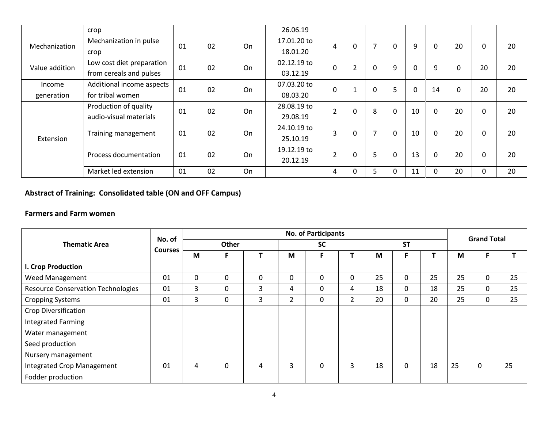|                | crop                      |    |    |    | 26.06.19    |                |          |                |              |             |              |              |             |    |
|----------------|---------------------------|----|----|----|-------------|----------------|----------|----------------|--------------|-------------|--------------|--------------|-------------|----|
| Mechanization  | Mechanization in pulse    | 01 | 02 | On | 17.01.20 to | 4              | $\Omega$ | 7              | $\mathbf{0}$ | 9           | 0            | 20           | 0           | 20 |
|                | crop                      |    |    |    | 18.01.20    |                |          |                |              |             |              |              |             |    |
| Value addition | Low cost diet preparation | 01 | 02 | On | 02.12.19 to | 0              | 2        | $\Omega$       | 9            | 0           | 9            | $\mathbf{0}$ | 20          | 20 |
|                | from cereals and pulses   |    |    |    | 03.12.19    |                |          |                |              |             |              |              |             |    |
| Income         | Additional income aspects | 01 | 02 | On | 07.03.20 to | $\overline{0}$ |          | $\mathbf 0$    | 5            | $\mathbf 0$ | 14           | $\Omega$     | 20          | 20 |
| generation     | for tribal women          |    |    |    | 08.03.20    |                |          |                |              |             |              |              |             |    |
|                | Production of quality     | 01 | 02 | On | 28.08.19 to | $\overline{2}$ | $\Omega$ | 8              | $\Omega$     | 10          | $\Omega$     | 20           | $\Omega$    | 20 |
|                | audio-visual materials    |    |    |    | 29.08.19    |                |          |                |              |             |              |              |             |    |
|                |                           | 01 | 02 | On | 24.10.19 to | 3              | $\Omega$ | $\overline{7}$ | $\mathbf{0}$ | 10          | $\mathbf{0}$ | 20           | 0           | 20 |
| Extension      | Training management       |    |    |    | 25.10.19    |                |          |                |              |             |              |              |             |    |
|                | Process documentation     | 01 | 02 | On | 19.12.19 to | $\overline{2}$ | $\Omega$ | 5              | $\mathbf 0$  | 13          | $\mathbf 0$  | 20           | $\mathbf 0$ | 20 |
|                |                           |    |    |    | 20.12.19    |                |          |                |              |             |              |              |             |    |
|                | Market led extension      | 01 | 02 | On |             | 4              |          | 5              | $\Omega$     | 11          | $\Omega$     | 20           | 0           | 20 |

**Abstract of Training: Consolidated table (ON and OFF Campus)**

### **Farmers and Farm women**

|                                           | No. of         |   |             |   |   | <b>No. of Participants</b> |                |    |           |    |    | <b>Grand Total</b> |    |
|-------------------------------------------|----------------|---|-------------|---|---|----------------------------|----------------|----|-----------|----|----|--------------------|----|
| <b>Thematic Area</b>                      | <b>Courses</b> |   | Other       |   |   | <b>SC</b>                  |                |    | <b>ST</b> |    |    |                    |    |
|                                           |                | M | F           |   | M | F                          |                | M  |           |    | M  |                    |    |
| I. Crop Production                        |                |   |             |   |   |                            |                |    |           |    |    |                    |    |
| Weed Management                           | 01             | 0 | $\mathbf 0$ | 0 | 0 | 0                          | $\Omega$       | 25 | $\Omega$  | 25 | 25 | $\mathbf{0}$       | 25 |
| <b>Resource Conservation Technologies</b> | 01             | 3 | 0           | 3 | 4 | 0                          | 4              | 18 | 0         | 18 | 25 | 0                  | 25 |
| <b>Cropping Systems</b>                   | 01             | 3 | 0           | 3 | 2 | 0                          | $\overline{2}$ | 20 | 0         | 20 | 25 | $\Omega$           | 25 |
| <b>Crop Diversification</b>               |                |   |             |   |   |                            |                |    |           |    |    |                    |    |
| Integrated Farming                        |                |   |             |   |   |                            |                |    |           |    |    |                    |    |
| Water management                          |                |   |             |   |   |                            |                |    |           |    |    |                    |    |
| Seed production                           |                |   |             |   |   |                            |                |    |           |    |    |                    |    |
| Nursery management                        |                |   |             |   |   |                            |                |    |           |    |    |                    |    |
| Integrated Crop Management                | 01             | 4 | 0           | 4 | 3 | 0                          | 3              | 18 | 0         | 18 | 25 | $\mathbf 0$        | 25 |
| Fodder production                         |                |   |             |   |   |                            |                |    |           |    |    |                    |    |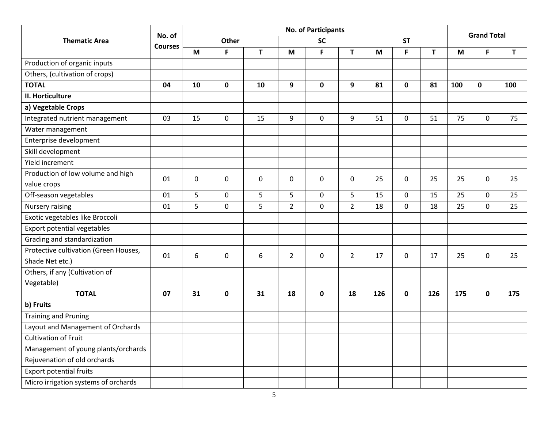|                                       |                |              |              |             |                | <b>No. of Participants</b> |                |     |              |     |     | <b>Grand Total</b> |             |
|---------------------------------------|----------------|--------------|--------------|-------------|----------------|----------------------------|----------------|-----|--------------|-----|-----|--------------------|-------------|
| <b>Thematic Area</b>                  | No. of         |              | <b>Other</b> |             |                | <b>SC</b>                  |                |     | <b>ST</b>    |     |     |                    |             |
|                                       | <b>Courses</b> | M            | F            | T           | M              | F                          | T.             | M   | F            | T   | M   | F                  | $\mathbf T$ |
| Production of organic inputs          |                |              |              |             |                |                            |                |     |              |     |     |                    |             |
| Others, (cultivation of crops)        |                |              |              |             |                |                            |                |     |              |     |     |                    |             |
| <b>TOTAL</b>                          | 04             | 10           | $\mathbf 0$  | 10          | 9              | $\mathbf 0$                | 9              | 81  | 0            | 81  | 100 | $\mathbf 0$        | 100         |
| II. Horticulture                      |                |              |              |             |                |                            |                |     |              |     |     |                    |             |
| a) Vegetable Crops                    |                |              |              |             |                |                            |                |     |              |     |     |                    |             |
| Integrated nutrient management        | 03             | 15           | $\mathbf 0$  | 15          | 9              | $\mathbf 0$                | 9              | 51  | $\mathbf{0}$ | 51  | 75  | $\Omega$           | 75          |
| Water management                      |                |              |              |             |                |                            |                |     |              |     |     |                    |             |
| Enterprise development                |                |              |              |             |                |                            |                |     |              |     |     |                    |             |
| Skill development                     |                |              |              |             |                |                            |                |     |              |     |     |                    |             |
| Yield increment                       |                |              |              |             |                |                            |                |     |              |     |     |                    |             |
| Production of low volume and high     |                |              |              |             |                |                            |                |     |              |     |     |                    |             |
| value crops                           | 01             | $\mathbf{0}$ | $\mathbf 0$  | $\mathbf 0$ | 0              | 0                          | $\Omega$       | 25  | $\Omega$     | 25  | 25  | $\Omega$           | 25          |
| Off-season vegetables                 | 01             | 5            | 0            | 5           | 5              | 0                          | 5              | 15  | $\Omega$     | 15  | 25  | 0                  | 25          |
| Nursery raising                       | 01             | 5            | $\mathbf 0$  | 5           | $\overline{2}$ | $\mathbf 0$                | $\overline{2}$ | 18  | 0            | 18  | 25  | $\mathbf 0$        | 25          |
| Exotic vegetables like Broccoli       |                |              |              |             |                |                            |                |     |              |     |     |                    |             |
| Export potential vegetables           |                |              |              |             |                |                            |                |     |              |     |     |                    |             |
| Grading and standardization           |                |              |              |             |                |                            |                |     |              |     |     |                    |             |
| Protective cultivation (Green Houses, | 01             | 6            | 0            | 6           | $\overline{2}$ | $\pmb{0}$                  | $\overline{2}$ | 17  |              | 17  | 25  | $\Omega$           | 25          |
| Shade Net etc.)                       |                |              |              |             |                |                            |                |     | 0            |     |     |                    |             |
| Others, if any (Cultivation of        |                |              |              |             |                |                            |                |     |              |     |     |                    |             |
| Vegetable)                            |                |              |              |             |                |                            |                |     |              |     |     |                    |             |
| <b>TOTAL</b>                          | 07             | 31           | $\mathbf 0$  | 31          | 18             | $\mathbf 0$                | 18             | 126 | 0            | 126 | 175 | 0                  | 175         |
| b) Fruits                             |                |              |              |             |                |                            |                |     |              |     |     |                    |             |
| <b>Training and Pruning</b>           |                |              |              |             |                |                            |                |     |              |     |     |                    |             |
| Layout and Management of Orchards     |                |              |              |             |                |                            |                |     |              |     |     |                    |             |
| <b>Cultivation of Fruit</b>           |                |              |              |             |                |                            |                |     |              |     |     |                    |             |
| Management of young plants/orchards   |                |              |              |             |                |                            |                |     |              |     |     |                    |             |
| Rejuvenation of old orchards          |                |              |              |             |                |                            |                |     |              |     |     |                    |             |
| <b>Export potential fruits</b>        |                |              |              |             |                |                            |                |     |              |     |     |                    |             |
| Micro irrigation systems of orchards  |                |              |              |             |                |                            |                |     |              |     |     |                    |             |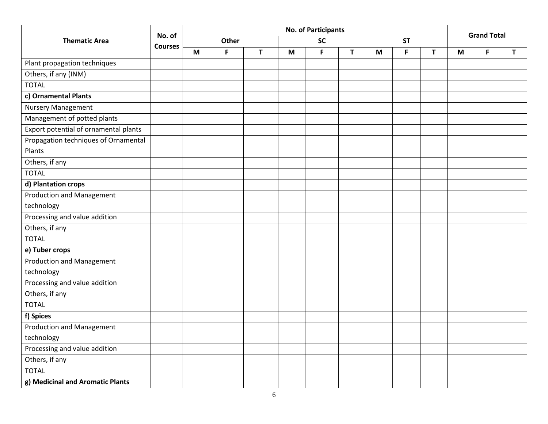|                                       |                |   |       |              |   | <b>No. of Participants</b> |   |   |           |    |   | <b>Grand Total</b> |   |
|---------------------------------------|----------------|---|-------|--------------|---|----------------------------|---|---|-----------|----|---|--------------------|---|
| <b>Thematic Area</b>                  | No. of         |   | Other |              |   | <b>SC</b>                  |   |   | <b>ST</b> |    |   |                    |   |
|                                       | <b>Courses</b> | M | F     | $\mathbf{T}$ | M | F                          | T | M | F         | T. | M | F                  | T |
| Plant propagation techniques          |                |   |       |              |   |                            |   |   |           |    |   |                    |   |
| Others, if any (INM)                  |                |   |       |              |   |                            |   |   |           |    |   |                    |   |
| <b>TOTAL</b>                          |                |   |       |              |   |                            |   |   |           |    |   |                    |   |
| c) Ornamental Plants                  |                |   |       |              |   |                            |   |   |           |    |   |                    |   |
| <b>Nursery Management</b>             |                |   |       |              |   |                            |   |   |           |    |   |                    |   |
| Management of potted plants           |                |   |       |              |   |                            |   |   |           |    |   |                    |   |
| Export potential of ornamental plants |                |   |       |              |   |                            |   |   |           |    |   |                    |   |
| Propagation techniques of Ornamental  |                |   |       |              |   |                            |   |   |           |    |   |                    |   |
| Plants                                |                |   |       |              |   |                            |   |   |           |    |   |                    |   |
| Others, if any                        |                |   |       |              |   |                            |   |   |           |    |   |                    |   |
| <b>TOTAL</b>                          |                |   |       |              |   |                            |   |   |           |    |   |                    |   |
| d) Plantation crops                   |                |   |       |              |   |                            |   |   |           |    |   |                    |   |
| <b>Production and Management</b>      |                |   |       |              |   |                            |   |   |           |    |   |                    |   |
| technology                            |                |   |       |              |   |                            |   |   |           |    |   |                    |   |
| Processing and value addition         |                |   |       |              |   |                            |   |   |           |    |   |                    |   |
| Others, if any                        |                |   |       |              |   |                            |   |   |           |    |   |                    |   |
| <b>TOTAL</b>                          |                |   |       |              |   |                            |   |   |           |    |   |                    |   |
| e) Tuber crops                        |                |   |       |              |   |                            |   |   |           |    |   |                    |   |
| <b>Production and Management</b>      |                |   |       |              |   |                            |   |   |           |    |   |                    |   |
| technology                            |                |   |       |              |   |                            |   |   |           |    |   |                    |   |
| Processing and value addition         |                |   |       |              |   |                            |   |   |           |    |   |                    |   |
| Others, if any                        |                |   |       |              |   |                            |   |   |           |    |   |                    |   |
| <b>TOTAL</b>                          |                |   |       |              |   |                            |   |   |           |    |   |                    |   |
| f) Spices                             |                |   |       |              |   |                            |   |   |           |    |   |                    |   |
| Production and Management             |                |   |       |              |   |                            |   |   |           |    |   |                    |   |
| technology                            |                |   |       |              |   |                            |   |   |           |    |   |                    |   |
| Processing and value addition         |                |   |       |              |   |                            |   |   |           |    |   |                    |   |
| Others, if any                        |                |   |       |              |   |                            |   |   |           |    |   |                    |   |
| <b>TOTAL</b>                          |                |   |       |              |   |                            |   |   |           |    |   |                    |   |
| g) Medicinal and Aromatic Plants      |                |   |       |              |   |                            |   |   |           |    |   |                    |   |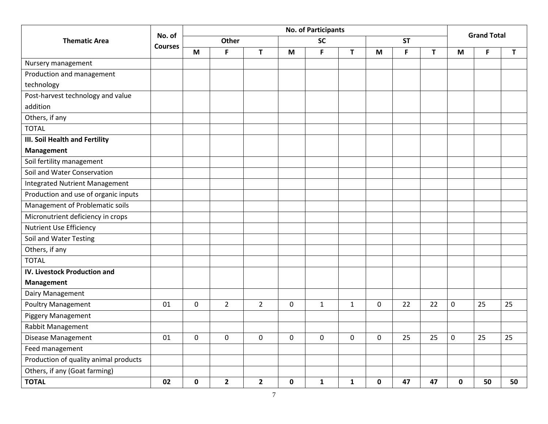|                                       |                |             |                |                |             | <b>No. of Participants</b> |              |              |           |    |                  |                    |    |
|---------------------------------------|----------------|-------------|----------------|----------------|-------------|----------------------------|--------------|--------------|-----------|----|------------------|--------------------|----|
| <b>Thematic Area</b>                  | No. of         |             | <b>Other</b>   |                |             | <b>SC</b>                  |              |              | <b>ST</b> |    |                  | <b>Grand Total</b> |    |
|                                       | <b>Courses</b> | M           | F              | T              | M           | $\mathsf F$                | T            | M            | F         | T. | M                | F                  | T. |
| Nursery management                    |                |             |                |                |             |                            |              |              |           |    |                  |                    |    |
| Production and management             |                |             |                |                |             |                            |              |              |           |    |                  |                    |    |
| technology                            |                |             |                |                |             |                            |              |              |           |    |                  |                    |    |
| Post-harvest technology and value     |                |             |                |                |             |                            |              |              |           |    |                  |                    |    |
| addition                              |                |             |                |                |             |                            |              |              |           |    |                  |                    |    |
| Others, if any                        |                |             |                |                |             |                            |              |              |           |    |                  |                    |    |
| <b>TOTAL</b>                          |                |             |                |                |             |                            |              |              |           |    |                  |                    |    |
| III. Soil Health and Fertility        |                |             |                |                |             |                            |              |              |           |    |                  |                    |    |
| <b>Management</b>                     |                |             |                |                |             |                            |              |              |           |    |                  |                    |    |
| Soil fertility management             |                |             |                |                |             |                            |              |              |           |    |                  |                    |    |
| Soil and Water Conservation           |                |             |                |                |             |                            |              |              |           |    |                  |                    |    |
| <b>Integrated Nutrient Management</b> |                |             |                |                |             |                            |              |              |           |    |                  |                    |    |
| Production and use of organic inputs  |                |             |                |                |             |                            |              |              |           |    |                  |                    |    |
| Management of Problematic soils       |                |             |                |                |             |                            |              |              |           |    |                  |                    |    |
| Micronutrient deficiency in crops     |                |             |                |                |             |                            |              |              |           |    |                  |                    |    |
| <b>Nutrient Use Efficiency</b>        |                |             |                |                |             |                            |              |              |           |    |                  |                    |    |
| Soil and Water Testing                |                |             |                |                |             |                            |              |              |           |    |                  |                    |    |
| Others, if any                        |                |             |                |                |             |                            |              |              |           |    |                  |                    |    |
| <b>TOTAL</b>                          |                |             |                |                |             |                            |              |              |           |    |                  |                    |    |
| <b>IV. Livestock Production and</b>   |                |             |                |                |             |                            |              |              |           |    |                  |                    |    |
| <b>Management</b>                     |                |             |                |                |             |                            |              |              |           |    |                  |                    |    |
| Dairy Management                      |                |             |                |                |             |                            |              |              |           |    |                  |                    |    |
| Poultry Management                    | 01             | $\mathbf 0$ | $\overline{2}$ | $\overline{2}$ | $\mathbf 0$ | $\mathbf{1}$               | $\mathbf{1}$ | $\mathbf{0}$ | 22        | 22 | $\mathbf 0$      | 25                 | 25 |
| <b>Piggery Management</b>             |                |             |                |                |             |                            |              |              |           |    |                  |                    |    |
| Rabbit Management                     |                |             |                |                |             |                            |              |              |           |    |                  |                    |    |
| Disease Management                    | 01             | 0           | $\pmb{0}$      | $\mathbf 0$    | $\mathbf 0$ | $\mathbf 0$                | 0            | 0            | 25        | 25 | $\boldsymbol{0}$ | 25                 | 25 |
| Feed management                       |                |             |                |                |             |                            |              |              |           |    |                  |                    |    |
| Production of quality animal products |                |             |                |                |             |                            |              |              |           |    |                  |                    |    |
| Others, if any (Goat farming)         |                |             |                |                |             |                            |              |              |           |    |                  |                    |    |
| <b>TOTAL</b>                          | 02             | $\mathbf 0$ | $\overline{2}$ | $\overline{2}$ | 0           | $\mathbf{1}$               | $\mathbf{1}$ | $\mathbf 0$  | 47        | 47 | $\mathbf 0$      | 50                 | 50 |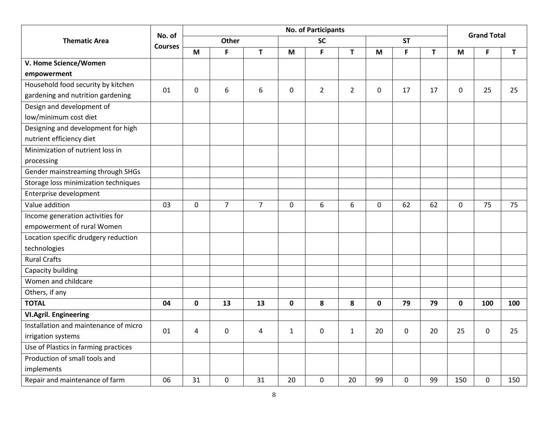|                                       |                |             |                  |                |              | <b>No. of Participants</b> |                |             |             |    |             | <b>Grand Total</b> |     |
|---------------------------------------|----------------|-------------|------------------|----------------|--------------|----------------------------|----------------|-------------|-------------|----|-------------|--------------------|-----|
| <b>Thematic Area</b>                  | No. of         |             | Other            |                |              | <b>SC</b>                  |                |             | <b>ST</b>   |    |             |                    |     |
|                                       | <b>Courses</b> | M           | F                | $\mathbf{T}$   | M            | F                          | T              | M           | F           | T  | M           | F.                 | T   |
| V. Home Science/Women                 |                |             |                  |                |              |                            |                |             |             |    |             |                    |     |
| empowerment                           |                |             |                  |                |              |                            |                |             |             |    |             |                    |     |
| Household food security by kitchen    | 01             | $\mathbf 0$ | 6                | 6              | $\mathbf 0$  | $\overline{2}$             | $\overline{2}$ |             |             |    |             |                    | 25  |
| gardening and nutrition gardening     |                |             |                  |                |              |                            |                | 0           | 17          | 17 | 0           | 25                 |     |
| Design and development of             |                |             |                  |                |              |                            |                |             |             |    |             |                    |     |
| low/minimum cost diet                 |                |             |                  |                |              |                            |                |             |             |    |             |                    |     |
| Designing and development for high    |                |             |                  |                |              |                            |                |             |             |    |             |                    |     |
| nutrient efficiency diet              |                |             |                  |                |              |                            |                |             |             |    |             |                    |     |
| Minimization of nutrient loss in      |                |             |                  |                |              |                            |                |             |             |    |             |                    |     |
| processing                            |                |             |                  |                |              |                            |                |             |             |    |             |                    |     |
| Gender mainstreaming through SHGs     |                |             |                  |                |              |                            |                |             |             |    |             |                    |     |
| Storage loss minimization techniques  |                |             |                  |                |              |                            |                |             |             |    |             |                    |     |
| Enterprise development                |                |             |                  |                |              |                            |                |             |             |    |             |                    |     |
| Value addition                        | 03             | $\mathbf 0$ | $\overline{7}$   | $\overline{7}$ | $\mathbf 0$  | 6                          | 6              | $\mathbf 0$ | 62          | 62 | $\mathbf 0$ | 75                 | 75  |
| Income generation activities for      |                |             |                  |                |              |                            |                |             |             |    |             |                    |     |
| empowerment of rural Women            |                |             |                  |                |              |                            |                |             |             |    |             |                    |     |
| Location specific drudgery reduction  |                |             |                  |                |              |                            |                |             |             |    |             |                    |     |
| technologies                          |                |             |                  |                |              |                            |                |             |             |    |             |                    |     |
| <b>Rural Crafts</b>                   |                |             |                  |                |              |                            |                |             |             |    |             |                    |     |
| Capacity building                     |                |             |                  |                |              |                            |                |             |             |    |             |                    |     |
| Women and childcare                   |                |             |                  |                |              |                            |                |             |             |    |             |                    |     |
| Others, if any                        |                |             |                  |                |              |                            |                |             |             |    |             |                    |     |
| <b>TOTAL</b>                          | 04             | $\mathbf 0$ | 13               | 13             | $\mathbf 0$  | 8                          | 8              | $\mathbf 0$ | 79          | 79 | 0           | 100                | 100 |
| <b>VI.Agril. Engineering</b>          |                |             |                  |                |              |                            |                |             |             |    |             |                    |     |
| Installation and maintenance of micro | 01             | 4           | $\mathbf 0$      | 4              | $\mathbf{1}$ | $\mathbf 0$                | $\mathbf{1}$   | 20          | $\mathbf 0$ | 20 | 25          | $\mathbf 0$        | 25  |
| irrigation systems                    |                |             |                  |                |              |                            |                |             |             |    |             |                    |     |
| Use of Plastics in farming practices  |                |             |                  |                |              |                            |                |             |             |    |             |                    |     |
| Production of small tools and         |                |             |                  |                |              |                            |                |             |             |    |             |                    |     |
| implements                            |                |             |                  |                |              |                            |                |             |             |    |             |                    |     |
| Repair and maintenance of farm        | 06             | 31          | $\boldsymbol{0}$ | 31             | 20           | $\pmb{0}$                  | 20             | 99          | $\Omega$    | 99 | 150         | $\pmb{0}$          | 150 |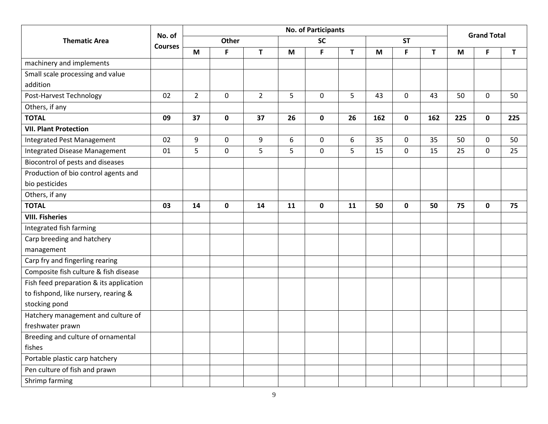|                                         |                |                |                |                |    | <b>No. of Participants</b> |    |     |             |     |     | <b>Grand Total</b> |     |
|-----------------------------------------|----------------|----------------|----------------|----------------|----|----------------------------|----|-----|-------------|-----|-----|--------------------|-----|
| <b>Thematic Area</b>                    | No. of         |                | Other          |                |    | <b>SC</b>                  |    |     | <b>ST</b>   |     |     |                    |     |
|                                         | <b>Courses</b> | M              | F              | $\mathsf{T}$   | M  | F                          | T  | M   | F           | T   | M   | F                  | T   |
| machinery and implements                |                |                |                |                |    |                            |    |     |             |     |     |                    |     |
| Small scale processing and value        |                |                |                |                |    |                            |    |     |             |     |     |                    |     |
| addition                                |                |                |                |                |    |                            |    |     |             |     |     |                    |     |
| Post-Harvest Technology                 | 02             | $\overline{2}$ | $\overline{0}$ | $\overline{2}$ | 5  | $\mathbf 0$                | 5  | 43  | $\mathbf 0$ | 43  | 50  | $\mathbf 0$        | 50  |
| Others, if any                          |                |                |                |                |    |                            |    |     |             |     |     |                    |     |
| <b>TOTAL</b>                            | 09             | 37             | $\mathbf 0$    | 37             | 26 | $\mathbf 0$                | 26 | 162 | $\mathbf 0$ | 162 | 225 | $\mathbf 0$        | 225 |
| <b>VII. Plant Protection</b>            |                |                |                |                |    |                            |    |     |             |     |     |                    |     |
| Integrated Pest Management              | 02             | 9              | $\mathbf 0$    | $9\,$          | 6  | $\mathbf 0$                | 6  | 35  | 0           | 35  | 50  | 0                  | 50  |
| Integrated Disease Management           | 01             | 5              | $\mathbf 0$    | 5              | 5  | $\mathbf 0$                | 5  | 15  | $\mathbf 0$ | 15  | 25  | 0                  | 25  |
| Biocontrol of pests and diseases        |                |                |                |                |    |                            |    |     |             |     |     |                    |     |
| Production of bio control agents and    |                |                |                |                |    |                            |    |     |             |     |     |                    |     |
| bio pesticides                          |                |                |                |                |    |                            |    |     |             |     |     |                    |     |
| Others, if any                          |                |                |                |                |    |                            |    |     |             |     |     |                    |     |
| <b>TOTAL</b>                            | 03             | 14             | $\mathbf 0$    | 14             | 11 | $\mathbf 0$                | 11 | 50  | $\mathbf 0$ | 50  | 75  | 0                  | 75  |
| <b>VIII. Fisheries</b>                  |                |                |                |                |    |                            |    |     |             |     |     |                    |     |
| Integrated fish farming                 |                |                |                |                |    |                            |    |     |             |     |     |                    |     |
| Carp breeding and hatchery              |                |                |                |                |    |                            |    |     |             |     |     |                    |     |
| management                              |                |                |                |                |    |                            |    |     |             |     |     |                    |     |
| Carp fry and fingerling rearing         |                |                |                |                |    |                            |    |     |             |     |     |                    |     |
| Composite fish culture & fish disease   |                |                |                |                |    |                            |    |     |             |     |     |                    |     |
| Fish feed preparation & its application |                |                |                |                |    |                            |    |     |             |     |     |                    |     |
| to fishpond, like nursery, rearing &    |                |                |                |                |    |                            |    |     |             |     |     |                    |     |
| stocking pond                           |                |                |                |                |    |                            |    |     |             |     |     |                    |     |
| Hatchery management and culture of      |                |                |                |                |    |                            |    |     |             |     |     |                    |     |
| freshwater prawn                        |                |                |                |                |    |                            |    |     |             |     |     |                    |     |
| Breeding and culture of ornamental      |                |                |                |                |    |                            |    |     |             |     |     |                    |     |
| fishes                                  |                |                |                |                |    |                            |    |     |             |     |     |                    |     |
| Portable plastic carp hatchery          |                |                |                |                |    |                            |    |     |             |     |     |                    |     |
| Pen culture of fish and prawn           |                |                |                |                |    |                            |    |     |             |     |     |                    |     |
| Shrimp farming                          |                |                |                |                |    |                            |    |     |             |     |     |                    |     |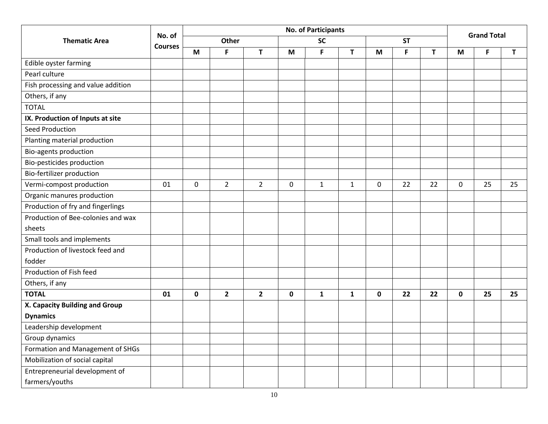|                                    |                |             |                |                |             | <b>No. of Participants</b> |              |          |           |    |          | <b>Grand Total</b> |              |
|------------------------------------|----------------|-------------|----------------|----------------|-------------|----------------------------|--------------|----------|-----------|----|----------|--------------------|--------------|
| <b>Thematic Area</b>               | No. of         |             | <b>Other</b>   |                |             | <b>SC</b>                  |              |          | <b>ST</b> |    |          |                    |              |
|                                    | <b>Courses</b> | M           | F              | T              | M           | F                          | T            | M        | F         | T  | M        | F                  | $\mathsf{T}$ |
| Edible oyster farming              |                |             |                |                |             |                            |              |          |           |    |          |                    |              |
| Pearl culture                      |                |             |                |                |             |                            |              |          |           |    |          |                    |              |
| Fish processing and value addition |                |             |                |                |             |                            |              |          |           |    |          |                    |              |
| Others, if any                     |                |             |                |                |             |                            |              |          |           |    |          |                    |              |
| <b>TOTAL</b>                       |                |             |                |                |             |                            |              |          |           |    |          |                    |              |
| IX. Production of Inputs at site   |                |             |                |                |             |                            |              |          |           |    |          |                    |              |
| Seed Production                    |                |             |                |                |             |                            |              |          |           |    |          |                    |              |
| Planting material production       |                |             |                |                |             |                            |              |          |           |    |          |                    |              |
| Bio-agents production              |                |             |                |                |             |                            |              |          |           |    |          |                    |              |
| Bio-pesticides production          |                |             |                |                |             |                            |              |          |           |    |          |                    |              |
| Bio-fertilizer production          |                |             |                |                |             |                            |              |          |           |    |          |                    |              |
| Vermi-compost production           | 01             | $\mathbf 0$ | $\overline{2}$ | $\overline{2}$ | 0           | $\mathbf{1}$               | $\mathbf{1}$ | $\Omega$ | 22        | 22 | $\Omega$ | 25                 | 25           |
| Organic manures production         |                |             |                |                |             |                            |              |          |           |    |          |                    |              |
| Production of fry and fingerlings  |                |             |                |                |             |                            |              |          |           |    |          |                    |              |
| Production of Bee-colonies and wax |                |             |                |                |             |                            |              |          |           |    |          |                    |              |
| sheets                             |                |             |                |                |             |                            |              |          |           |    |          |                    |              |
| Small tools and implements         |                |             |                |                |             |                            |              |          |           |    |          |                    |              |
| Production of livestock feed and   |                |             |                |                |             |                            |              |          |           |    |          |                    |              |
| fodder                             |                |             |                |                |             |                            |              |          |           |    |          |                    |              |
| Production of Fish feed            |                |             |                |                |             |                            |              |          |           |    |          |                    |              |
| Others, if any                     |                |             |                |                |             |                            |              |          |           |    |          |                    |              |
| <b>TOTAL</b>                       | 01             | 0           | $\mathbf{2}$   | $\overline{2}$ | $\mathbf 0$ | $\mathbf{1}$               | 1            | 0        | 22        | 22 | 0        | 25                 | 25           |
| X. Capacity Building and Group     |                |             |                |                |             |                            |              |          |           |    |          |                    |              |
| <b>Dynamics</b>                    |                |             |                |                |             |                            |              |          |           |    |          |                    |              |
| Leadership development             |                |             |                |                |             |                            |              |          |           |    |          |                    |              |
| Group dynamics                     |                |             |                |                |             |                            |              |          |           |    |          |                    |              |
| Formation and Management of SHGs   |                |             |                |                |             |                            |              |          |           |    |          |                    |              |
| Mobilization of social capital     |                |             |                |                |             |                            |              |          |           |    |          |                    |              |
| Entrepreneurial development of     |                |             |                |                |             |                            |              |          |           |    |          |                    |              |
| farmers/youths                     |                |             |                |                |             |                            |              |          |           |    |          |                    |              |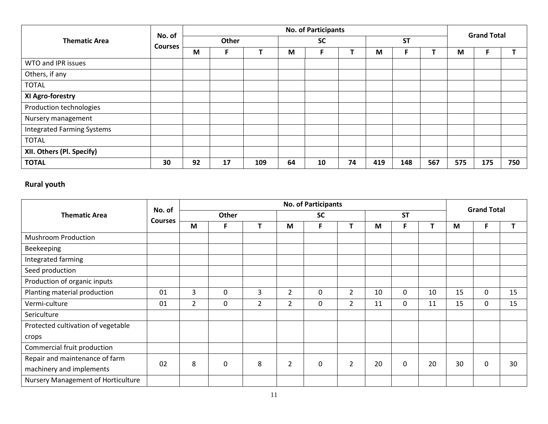|                                   | No. of         |    |       |     |    | <b>No. of Participants</b> |    |     |           |     |     | <b>Grand Total</b> |     |
|-----------------------------------|----------------|----|-------|-----|----|----------------------------|----|-----|-----------|-----|-----|--------------------|-----|
| <b>Thematic Area</b>              | <b>Courses</b> |    | Other |     |    | <b>SC</b>                  |    |     | <b>ST</b> |     |     |                    |     |
|                                   |                | M  | F.    |     | M  | F.                         |    | M   |           |     | M   |                    |     |
| WTO and IPR issues                |                |    |       |     |    |                            |    |     |           |     |     |                    |     |
| Others, if any                    |                |    |       |     |    |                            |    |     |           |     |     |                    |     |
| <b>TOTAL</b>                      |                |    |       |     |    |                            |    |     |           |     |     |                    |     |
| XI Agro-forestry                  |                |    |       |     |    |                            |    |     |           |     |     |                    |     |
| Production technologies           |                |    |       |     |    |                            |    |     |           |     |     |                    |     |
| Nursery management                |                |    |       |     |    |                            |    |     |           |     |     |                    |     |
| <b>Integrated Farming Systems</b> |                |    |       |     |    |                            |    |     |           |     |     |                    |     |
| <b>TOTAL</b>                      |                |    |       |     |    |                            |    |     |           |     |     |                    |     |
| XII. Others (Pl. Specify)         |                |    |       |     |    |                            |    |     |           |     |     |                    |     |
| <b>TOTAL</b>                      | 30             | 92 | 17    | 109 | 64 | 10                         | 74 | 419 | 148       | 567 | 575 | 175                | 750 |

## **Rural youth**

|                                    | No. of         |                |              |                |                | <b>No. of Participants</b> |                |    |                  |    |    | <b>Grand Total</b> |    |
|------------------------------------|----------------|----------------|--------------|----------------|----------------|----------------------------|----------------|----|------------------|----|----|--------------------|----|
| <b>Thematic Area</b>               | <b>Courses</b> |                | <b>Other</b> |                |                | <b>SC</b>                  |                |    | <b>ST</b>        |    |    |                    |    |
|                                    |                | M              | F.           |                | M              | F                          | т              | M  | F                | т  | M  | F                  | T  |
| <b>Mushroom Production</b>         |                |                |              |                |                |                            |                |    |                  |    |    |                    |    |
| Beekeeping                         |                |                |              |                |                |                            |                |    |                  |    |    |                    |    |
| Integrated farming                 |                |                |              |                |                |                            |                |    |                  |    |    |                    |    |
| Seed production                    |                |                |              |                |                |                            |                |    |                  |    |    |                    |    |
| Production of organic inputs       |                |                |              |                |                |                            |                |    |                  |    |    |                    |    |
| Planting material production       | 01             | 3              | 0            | 3              | $\overline{2}$ | 0                          | $\overline{2}$ | 10 | 0                | 10 | 15 | $\mathbf 0$        | 15 |
| Vermi-culture                      | 01             | $\overline{2}$ | 0            | $\overline{2}$ | $\overline{2}$ | 0                          | $\overline{2}$ | 11 | 0                | 11 | 15 | 0                  | 15 |
| Sericulture                        |                |                |              |                |                |                            |                |    |                  |    |    |                    |    |
| Protected cultivation of vegetable |                |                |              |                |                |                            |                |    |                  |    |    |                    |    |
| crops                              |                |                |              |                |                |                            |                |    |                  |    |    |                    |    |
| Commercial fruit production        |                |                |              |                |                |                            |                |    |                  |    |    |                    |    |
| Repair and maintenance of farm     | 02             | 8              | 0            | 8              | $\overline{2}$ | 0                          | $\overline{2}$ | 20 | $\boldsymbol{0}$ | 20 | 30 | 0                  | 30 |
| machinery and implements           |                |                |              |                |                |                            |                |    |                  |    |    |                    |    |
| Nursery Management of Horticulture |                |                |              |                |                |                            |                |    |                  |    |    |                    |    |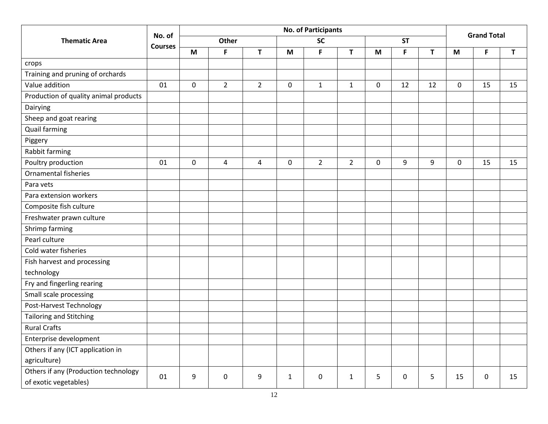|                                       |                |                  |                |             |              | <b>No. of Participants</b> |                |          |             |                |             | <b>Grand Total</b> |    |
|---------------------------------------|----------------|------------------|----------------|-------------|--------------|----------------------------|----------------|----------|-------------|----------------|-------------|--------------------|----|
| <b>Thematic Area</b>                  | No. of         |                  | <b>Other</b>   |             |              | <b>SC</b>                  |                |          | <b>ST</b>   |                |             |                    |    |
|                                       | <b>Courses</b> | M                | F              | T           | M            | F                          | T              | M        | F           | T              | M           | F                  | T  |
| crops                                 |                |                  |                |             |              |                            |                |          |             |                |             |                    |    |
| Training and pruning of orchards      |                |                  |                |             |              |                            |                |          |             |                |             |                    |    |
| Value addition                        | 01             | $\mathbf 0$      | $\overline{2}$ | $2^{\circ}$ | $\mathbf 0$  | $\mathbf{1}$               | $\mathbf{1}$   | $\Omega$ | 12          | 12             | $\Omega$    | 15                 | 15 |
| Production of quality animal products |                |                  |                |             |              |                            |                |          |             |                |             |                    |    |
| Dairying                              |                |                  |                |             |              |                            |                |          |             |                |             |                    |    |
| Sheep and goat rearing                |                |                  |                |             |              |                            |                |          |             |                |             |                    |    |
| <b>Quail farming</b>                  |                |                  |                |             |              |                            |                |          |             |                |             |                    |    |
| Piggery                               |                |                  |                |             |              |                            |                |          |             |                |             |                    |    |
| Rabbit farming                        |                |                  |                |             |              |                            |                |          |             |                |             |                    |    |
| Poultry production                    | 01             | $\boldsymbol{0}$ | 4              | 4           | $\mathbf 0$  | $\overline{2}$             | $\overline{2}$ | 0        | 9           | 9              | $\mathbf 0$ | 15                 | 15 |
| Ornamental fisheries                  |                |                  |                |             |              |                            |                |          |             |                |             |                    |    |
| Para vets                             |                |                  |                |             |              |                            |                |          |             |                |             |                    |    |
| Para extension workers                |                |                  |                |             |              |                            |                |          |             |                |             |                    |    |
| Composite fish culture                |                |                  |                |             |              |                            |                |          |             |                |             |                    |    |
| Freshwater prawn culture              |                |                  |                |             |              |                            |                |          |             |                |             |                    |    |
| Shrimp farming                        |                |                  |                |             |              |                            |                |          |             |                |             |                    |    |
| Pearl culture                         |                |                  |                |             |              |                            |                |          |             |                |             |                    |    |
| Cold water fisheries                  |                |                  |                |             |              |                            |                |          |             |                |             |                    |    |
| Fish harvest and processing           |                |                  |                |             |              |                            |                |          |             |                |             |                    |    |
| technology                            |                |                  |                |             |              |                            |                |          |             |                |             |                    |    |
| Fry and fingerling rearing            |                |                  |                |             |              |                            |                |          |             |                |             |                    |    |
| Small scale processing                |                |                  |                |             |              |                            |                |          |             |                |             |                    |    |
| Post-Harvest Technology               |                |                  |                |             |              |                            |                |          |             |                |             |                    |    |
| <b>Tailoring and Stitching</b>        |                |                  |                |             |              |                            |                |          |             |                |             |                    |    |
| <b>Rural Crafts</b>                   |                |                  |                |             |              |                            |                |          |             |                |             |                    |    |
| Enterprise development                |                |                  |                |             |              |                            |                |          |             |                |             |                    |    |
| Others if any (ICT application in     |                |                  |                |             |              |                            |                |          |             |                |             |                    |    |
| agriculture)                          |                |                  |                |             |              |                            |                |          |             |                |             |                    |    |
| Others if any (Production technology  | 01             | 9                | $\mathbf 0$    | 9           | $\mathbf{1}$ | $\mathbf 0$                | $\mathbf{1}$   | 5        | $\mathbf 0$ | $5\phantom{.}$ | 15          | $\mathbf 0$        | 15 |
| of exotic vegetables)                 |                |                  |                |             |              |                            |                |          |             |                |             |                    |    |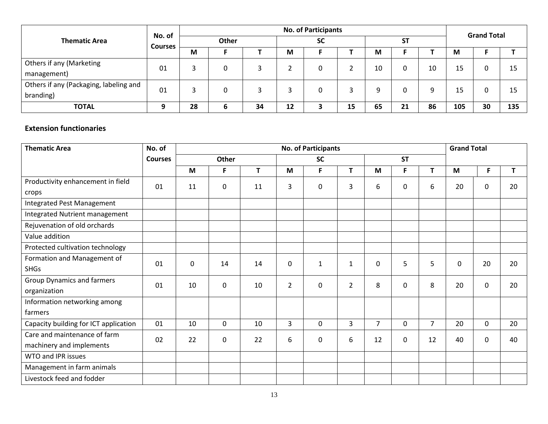|                                                     | No. of         |    |       |    |    | <b>No. of Participants</b> |    |    |           |    |     | <b>Grand Total</b> |     |
|-----------------------------------------------------|----------------|----|-------|----|----|----------------------------|----|----|-----------|----|-----|--------------------|-----|
| <b>Thematic Area</b>                                | <b>Courses</b> |    | Other |    |    | <b>SC</b>                  |    |    | <b>ST</b> |    |     |                    |     |
|                                                     |                | M  |       |    | M  |                            |    | М  |           |    | M   |                    |     |
| Others if any (Marketing<br>management)             | 01             | 3  | 0     |    |    | 0                          |    | 10 | 0         | 10 | 15  | 0                  | 15  |
| Others if any (Packaging, labeling and<br>branding) | 01             | 3  | 0     |    |    | 0                          |    | 9  | 0         | 9  | 15  | 0                  | 15  |
| <b>TOTAL</b>                                        | о              | 28 | ь     | 34 | 12 | э                          | 15 | 65 | 21        | 86 | 105 | 30                 | 135 |

### **Extension functionaries**

| <b>Thematic Area</b>                  | No. of         | <b>No. of Participants</b> |             |    |                |              |                |                |             |                | <b>Grand Total</b> |             |    |
|---------------------------------------|----------------|----------------------------|-------------|----|----------------|--------------|----------------|----------------|-------------|----------------|--------------------|-------------|----|
|                                       | <b>Courses</b> |                            | Other       |    |                | <b>SC</b>    |                |                | <b>ST</b>   |                |                    |             |    |
|                                       |                | M                          | F           | T  | M              | F            | T              | M              | F           | T.             | M                  | F           | T  |
| Productivity enhancement in field     | 01             | 11                         | 0           | 11 | 3              | $\pmb{0}$    | 3              | 6              | $\mathbf 0$ | 6              | 20                 | 0           | 20 |
| crops                                 |                |                            |             |    |                |              |                |                |             |                |                    |             |    |
| Integrated Pest Management            |                |                            |             |    |                |              |                |                |             |                |                    |             |    |
| Integrated Nutrient management        |                |                            |             |    |                |              |                |                |             |                |                    |             |    |
| Rejuvenation of old orchards          |                |                            |             |    |                |              |                |                |             |                |                    |             |    |
| Value addition                        |                |                            |             |    |                |              |                |                |             |                |                    |             |    |
| Protected cultivation technology      |                |                            |             |    |                |              |                |                |             |                |                    |             |    |
| Formation and Management of           | 01             | $\mathbf 0$                | 14          | 14 | $\mathbf 0$    | $\mathbf{1}$ | $\mathbf{1}$   | 0              | 5           | 5              | $\mathbf 0$        | 20          | 20 |
| <b>SHGs</b>                           |                |                            |             |    |                |              |                |                |             |                |                    |             |    |
| Group Dynamics and farmers            | 01             | 10                         | 0           | 10 | $\overline{2}$ | $\mathbf 0$  | $\overline{2}$ | 8              | $\mathbf 0$ | 8              | 20                 | $\mathbf 0$ | 20 |
| organization                          |                |                            |             |    |                |              |                |                |             |                |                    |             |    |
| Information networking among          |                |                            |             |    |                |              |                |                |             |                |                    |             |    |
| farmers                               |                |                            |             |    |                |              |                |                |             |                |                    |             |    |
| Capacity building for ICT application | 01             | 10                         | $\mathbf 0$ | 10 | 3              | $\mathbf 0$  | 3              | $\overline{7}$ | $\Omega$    | $\overline{7}$ | 20                 | $\Omega$    | 20 |
| Care and maintenance of farm          | 02             | 22                         | 0           | 22 | 6              | 0            | 6              | 12             | $\Omega$    | 12             | 40                 | $\Omega$    | 40 |
| machinery and implements              |                |                            |             |    |                |              |                |                |             |                |                    |             |    |
| WTO and IPR issues                    |                |                            |             |    |                |              |                |                |             |                |                    |             |    |
| Management in farm animals            |                |                            |             |    |                |              |                |                |             |                |                    |             |    |
| Livestock feed and fodder             |                |                            |             |    |                |              |                |                |             |                |                    |             |    |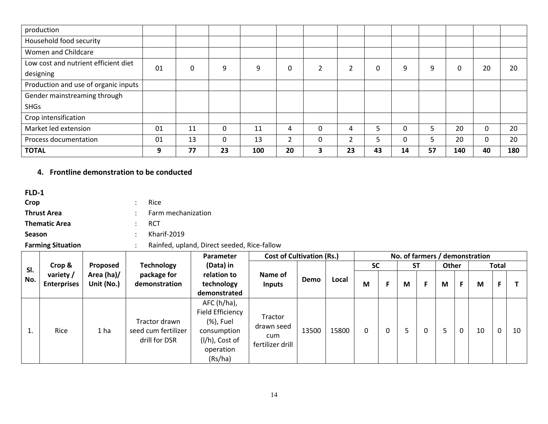| production                           |    |          |    |     |    |              |    |    |          |    |     |    |     |
|--------------------------------------|----|----------|----|-----|----|--------------|----|----|----------|----|-----|----|-----|
| Household food security              |    |          |    |     |    |              |    |    |          |    |     |    |     |
| Women and Childcare                  |    |          |    |     |    |              |    |    |          |    |     |    |     |
| Low cost and nutrient efficient diet | 01 | $\Omega$ | 9  | 9   | 0  | 2            | ำ  | 0  | 9        | 9  | 0   | 20 | 20  |
| designing                            |    |          |    |     |    |              |    |    |          |    |     |    |     |
| Production and use of organic inputs |    |          |    |     |    |              |    |    |          |    |     |    |     |
| Gender mainstreaming through         |    |          |    |     |    |              |    |    |          |    |     |    |     |
| <b>SHGs</b>                          |    |          |    |     |    |              |    |    |          |    |     |    |     |
| Crop intensification                 |    |          |    |     |    |              |    |    |          |    |     |    |     |
| Market led extension                 | 01 | 11       | 0  | 11  | 4  | $\mathbf{0}$ | 4  |    | $\Omega$ | ⋾  | 20  | 0  | 20  |
| Process documentation                | 01 | 13       | 0  | 13  | ำ  | 0            | ำ  |    | 0        |    | 20  | 0  | 20  |
| <b>TOTAL</b>                         | 9  | 77       | 23 | 100 | 20 | 3            | 23 | 43 | 14       | 57 | 140 | 40 | 180 |

### **4. Frontline demonstration to be conducted**

**FLD-1**

| Crop                 | -Rice           |                      |
|----------------------|-----------------|----------------------|
| <b>Thrust Area</b>   |                 | : Farm mechanization |
| <b>Thematic Area</b> | - RCT           |                      |
| <b>Season</b>        | $:$ Kharif-2019 |                      |

**Farming Situation** : Rainfed, upland, Direct seeded, Rice-fallow

|     |                                 | Parameter                | <b>Cost of Cultivation (Rs.)</b>                      |                                                                                                         |                                                         |             |       |           |           | No. of farmers / demonstration |    |    |              |    |
|-----|---------------------------------|--------------------------|-------------------------------------------------------|---------------------------------------------------------------------------------------------------------|---------------------------------------------------------|-------------|-------|-----------|-----------|--------------------------------|----|----|--------------|----|
| SI. | Crop &                          | Proposed                 | <b>Technology</b>                                     | (Data) in                                                                                               |                                                         |             |       | <b>SC</b> | <b>ST</b> | Other                          |    |    | <b>Total</b> |    |
| No. | variety /<br><b>Enterprises</b> | Area (ha)/<br>Unit (No.) | package for<br>demonstration                          | relation to<br>technology                                                                               | Name of<br><b>Inputs</b>                                | <b>Demo</b> | Local | M         | М         | M                              | F. | M  | F.           |    |
|     |                                 |                          |                                                       | demonstrated                                                                                            |                                                         |             |       |           |           |                                |    |    |              |    |
| ı.  | Rice                            | 1 <sub>ha</sub>          | Tractor drawn<br>seed cum fertilizer<br>drill for DSR | $AFC(h/ha)$ ,<br>Field Efficiency<br>(%), Fuel<br>consumption<br>(I/h), Cost of<br>operation<br>(Rs/ha) | <b>Tractor</b><br>drawn seed<br>cum<br>fertilizer drill | 13500       | 15800 |           |           |                                | 0  | 10 | 0            | 10 |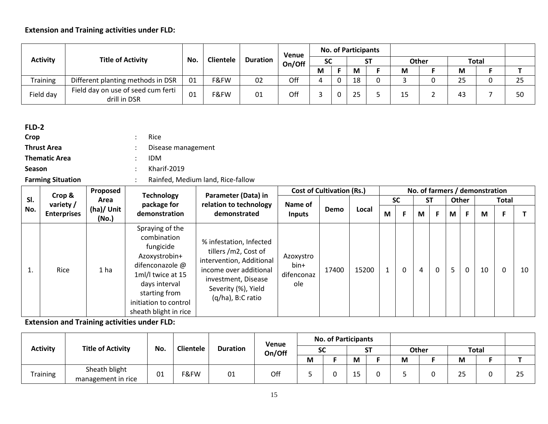|                 |                                                    |     |                  |                 | Venue  |           |              | <b>No. of Participants</b> |           |    |              |    |              |    |
|-----------------|----------------------------------------------------|-----|------------------|-----------------|--------|-----------|--------------|----------------------------|-----------|----|--------------|----|--------------|----|
| <b>Activity</b> | <b>Title of Activity</b>                           | No. | <b>Clientele</b> | <b>Duration</b> | On/Off | <b>SC</b> |              |                            | <b>ST</b> |    | <b>Other</b> |    | <b>Total</b> |    |
|                 |                                                    |     |                  |                 |        | M         |              | M                          |           | M  |              | M  |              |    |
| <b>Training</b> | Different planting methods in DSR                  | 01  | F&FW             | 02              | Off    |           | <sup>0</sup> | 18                         | ∩         |    |              | 25 |              | 25 |
| Field day       | Field day on use of seed cum ferti<br>drill in DSR | 01  | F&FW             | 01              | Off    |           | 0            | $\mathbf{r}$               |           | 15 |              | 43 |              | 50 |

### **FLD-2**

| Crop               | Rice   |
|--------------------|--------|
| <b>Thrust Area</b> | : Dise |

**Disease management Thematic Area** : IDM

**Season** : Kharif-2019

# **Farming Situation** : Rainfed, Medium land, Rice-fallow

|     |                     | Proposed            |                                                                                                                                                                                          |                                                                                                                                                                          |                                        | <b>Cost of Cultivation (Rs.)</b> |       |   |           |                |              |   |          | No. of farmers / demonstration |              |    |
|-----|---------------------|---------------------|------------------------------------------------------------------------------------------------------------------------------------------------------------------------------------------|--------------------------------------------------------------------------------------------------------------------------------------------------------------------------|----------------------------------------|----------------------------------|-------|---|-----------|----------------|--------------|---|----------|--------------------------------|--------------|----|
| SI. | Crop &<br>variety / | Area                | <b>Technology</b><br>package for                                                                                                                                                         | Parameter (Data) in<br>relation to technology                                                                                                                            | Name of                                |                                  |       |   | <b>SC</b> |                | <b>ST</b>    |   | Other    |                                | <b>Total</b> |    |
| No. | <b>Enterprises</b>  | (ha)/ Unit<br>(No.) | demonstration                                                                                                                                                                            | demonstrated                                                                                                                                                             | Inputs                                 | Demo                             | Local | M |           | M              | F            | M | F.       | M                              | F            |    |
|     | Rice                | 1 ha                | Spraying of the<br>combination<br>fungicide<br>Azoxystrobin+<br>difenconazole @<br>1ml/l twice at 15<br>days interval<br>starting from<br>initiation to control<br>sheath blight in rice | % infestation, Infected<br>tillers /m2, Cost of<br>intervention, Additional<br>income over additional<br>investment, Disease<br>Severity (%), Yield<br>(q/ha), B:C ratio | Azoxystro<br>bin+<br>difenconaz<br>ole | 17400                            | 15200 |   | 0         | $\overline{4}$ | $\mathbf{0}$ | 5 | $\Omega$ | 10                             | 0            | 10 |

|                 |                                     |     |                  |                 | Venue  |           | <b>No. of Participants</b> |   |    |   |       |              |    |
|-----------------|-------------------------------------|-----|------------------|-----------------|--------|-----------|----------------------------|---|----|---|-------|--------------|----|
| <b>Activity</b> | <b>Title of Activity</b>            | No. | <b>Clientele</b> | <b>Duration</b> | On/Off | <b>SC</b> |                            |   | cт |   | Other | <b>Total</b> |    |
|                 |                                     |     |                  |                 |        | M         |                            | M |    | M |       | M            |    |
| <b>Training</b> | Sheath blight<br>management in rice | 01  | F&FW             | 01              | Off    |           |                            |   |    |   |       | 25           | 25 |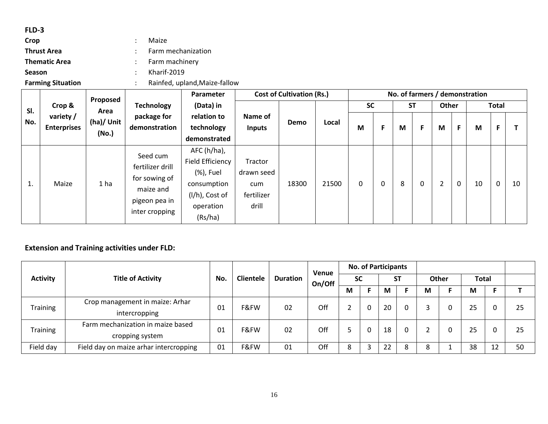### **FLD-3**

| Crop                 | Maize                       |
|----------------------|-----------------------------|
| <b>Thrust Area</b>   | : Farm mechanization        |
| <b>Thematic Area</b> | $\therefore$ Farm machinery |
| <b>Season</b>        | $:$ Kharif-2019             |
|                      |                             |

**Farming Situation** : Rainfed, upland,Maize-fallow

|     |                                 | Proposed            |                                                                                               | Parameter                                                                                             |                                                     | <b>Cost of Cultivation (Rs.)</b> |       |           |   |           |   |                |             | No. of farmers / demonstration |              |    |
|-----|---------------------------------|---------------------|-----------------------------------------------------------------------------------------------|-------------------------------------------------------------------------------------------------------|-----------------------------------------------------|----------------------------------|-------|-----------|---|-----------|---|----------------|-------------|--------------------------------|--------------|----|
| SI. | Crop &                          | Area                | <b>Technology</b>                                                                             | (Data) in                                                                                             |                                                     |                                  |       | <b>SC</b> |   | <b>ST</b> |   | Other          |             |                                | <b>Total</b> |    |
| No. | variety /<br><b>Enterprises</b> | (ha)/ Unit<br>(No.) | package for<br>demonstration                                                                  | relation to<br>technology<br>demonstrated                                                             | Name of<br><b>Inputs</b>                            | Demo                             | Local | M         | F | M         | F | M              | F.          | M                              | F            |    |
| 1.  | Maize                           | 1 ha                | Seed cum<br>fertilizer drill<br>for sowing of<br>maize and<br>pigeon pea in<br>inter cropping | AFC (h/ha),<br>Field Efficiency<br>(%), Fuel<br>consumption<br>(l/h), Cost of<br>operation<br>(Rs/ha) | Tractor<br>drawn seed<br>cum<br>fertilizer<br>drill | 18300                            | 21500 | 0         | 0 | 8         | 0 | $\overline{2}$ | $\mathbf 0$ | 10                             | $\mathbf 0$  | 10 |

|                 |                                        |     |                  |                 | Venue  |           | <b>No. of Participants</b> |           |       |              |             |    |
|-----------------|----------------------------------------|-----|------------------|-----------------|--------|-----------|----------------------------|-----------|-------|--------------|-------------|----|
| <b>Activity</b> | <b>Title of Activity</b>               | No. | <b>Clientele</b> | <b>Duration</b> | On/Off | <b>SC</b> |                            | <b>ST</b> | Other | <b>Total</b> |             |    |
|                 |                                        |     |                  |                 |        | M         | М                          |           | M     | M            |             |    |
| <b>Training</b> | Crop management in maize: Arhar        | 01  | F&FW             | 02              | Off    |           | 20                         |           |       | 25           |             | 25 |
|                 | intercropping                          |     |                  |                 |        |           |                            |           |       |              |             |    |
| <b>Training</b> | Farm mechanization in maize based      | 01  | F&FW             | 02              | Off    |           | 18                         | 0         |       | 25           |             | 25 |
|                 | cropping system                        |     |                  |                 |        |           |                            |           |       |              |             |    |
| Field day       | Field day on maize arhar intercropping | 01  | F&FW             | 01              | Off    | 8         | 22                         | 8         | 8     | 38           | ี่ 1 ว<br>┸ | 50 |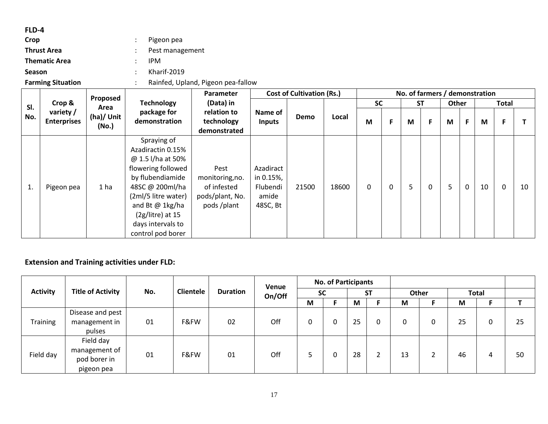### **FLD-4**

| Crop                 | Pigeon pea      |
|----------------------|-----------------|
| <b>Thrust Area</b>   | Pest management |
| <b>Thematic Area</b> | <b>IPM</b>      |
| <b>Season</b>        | Kharif-2019     |
|                      | _               |

**Farming Situation** : Rainfed, Upland, Pigeon pea-fallow

|     |                                 | Proposed            |                                                                                                                                                                                                                              | <b>Parameter</b>                                                        |                                                         | <b>Cost of Cultivation (Rs.)</b> |       |           |   |   |           |       |   | No. of farmers / demonstration |              |    |
|-----|---------------------------------|---------------------|------------------------------------------------------------------------------------------------------------------------------------------------------------------------------------------------------------------------------|-------------------------------------------------------------------------|---------------------------------------------------------|----------------------------------|-------|-----------|---|---|-----------|-------|---|--------------------------------|--------------|----|
| SI. | Crop &                          | Area                | <b>Technology</b>                                                                                                                                                                                                            | (Data) in                                                               |                                                         |                                  |       | <b>SC</b> |   |   | <b>ST</b> | Other |   |                                | <b>Total</b> |    |
| No. | variety /<br><b>Enterprises</b> | (ha)/ Unit<br>(No.) | package for<br>demonstration                                                                                                                                                                                                 | relation to<br>technology<br>demonstrated                               | Name of<br><b>Inputs</b>                                | Demo                             | Local | M         | F | M | F         | M     |   | M                              | F            |    |
| 1.  | Pigeon pea                      | 1 <sub>ha</sub>     | Spraying of<br>Azadiractin 0.15%<br>@ 1.5 l/ha at 50%<br>flowering followed<br>by flubendiamide<br>48SC @ 200ml/ha<br>(2ml/5 litre water)<br>and Bt @ 1kg/ha<br>$(2g/litre)$ at 15<br>days intervals to<br>control pod borer | Pest<br>monitoring, no.<br>of infested<br>pods/plant, No.<br>pods/plant | Azadiract<br>in 0.15%,<br>Flubendi<br>amide<br>48SC, Bt | 21500                            | 18600 | 0         | 0 | 5 | $\Omega$  | 5     | 0 | 10                             | $\mathbf 0$  | 10 |

|                 |                                                          |     |                  |                 | Venue  |           | <b>No. of Participants</b> |    |           |    |       |    |              |    |
|-----------------|----------------------------------------------------------|-----|------------------|-----------------|--------|-----------|----------------------------|----|-----------|----|-------|----|--------------|----|
| <b>Activity</b> | <b>Title of Activity</b>                                 | No. | <b>Clientele</b> | <b>Duration</b> | On/Off | <b>SC</b> |                            |    | <b>ST</b> |    | Other |    | <b>Total</b> |    |
|                 |                                                          |     |                  |                 |        | M         |                            | M  |           | M  |       | M  |              |    |
| <b>Training</b> | Disease and pest<br>management in<br>pulses              | 01  | F&FW             | 02              | Off    | 0         |                            | 25 |           | 0  |       | 25 | 0            | 25 |
| Field day       | Field day<br>management of<br>pod borer in<br>pigeon pea | 01  | F&FW             | 01              | Off    |           |                            | 28 |           | 13 |       | 46 | 4            | 50 |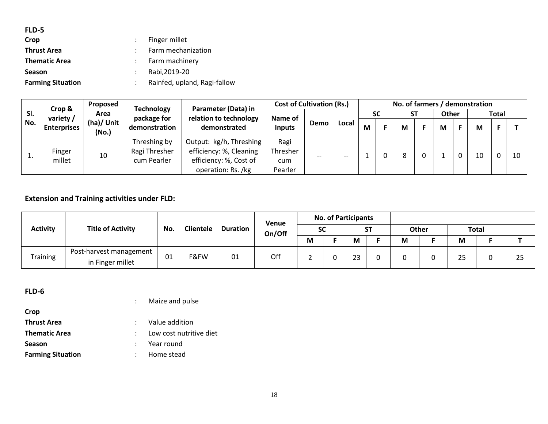| FLD-5                    |                              |
|--------------------------|------------------------------|
| Crop                     | Finger millet                |
| <b>Thrust Area</b>       | Farm mechanization           |
| <b>Thematic Area</b>     | Farm machinery               |
| <b>Season</b>            | Rabi, 2019-20                |
| <b>Farming Situation</b> | Rainfed, upland, Ragi-fallow |
|                          |                              |

|     | Crop &             | Proposed            | Parameter (Data) in<br><b>Technology</b>     |                                                                                                      | <b>Cost of Cultivation (Rs.)</b>   |      |       | No. of farmers / demonstration |           |    |  |       |  |    |              |    |  |
|-----|--------------------|---------------------|----------------------------------------------|------------------------------------------------------------------------------------------------------|------------------------------------|------|-------|--------------------------------|-----------|----|--|-------|--|----|--------------|----|--|
| SI. | variety $/$        | Area                | package for                                  | relation to technology                                                                               | Name of                            |      |       |                                | <b>SC</b> | SΤ |  | Other |  |    | <b>Total</b> |    |  |
| No. | <b>Enterprises</b> | (ha)/ Unit<br>(No.) | demonstration                                | demonstrated                                                                                         | <b>Inputs</b>                      | Demo | Local | M                              |           | М  |  | М     |  | M  |              |    |  |
| ⊥.  | Finger<br>millet   | 10                  | Threshing by<br>Ragi Thresher<br>cum Pearler | Output: kg/h, Threshing  <br>efficiency: %, Cleaning<br>efficiency: %, Cost of<br>operation: Rs. /kg | Ragi<br>Thresher<br>cum<br>Pearler | --   | $- -$ |                                |           | 8  |  |       |  | 10 |              | 10 |  |

|                 |                          |     |                  |                 | Venue  |           | <b>No. of Participants</b> |        |           |   |              |              |    |
|-----------------|--------------------------|-----|------------------|-----------------|--------|-----------|----------------------------|--------|-----------|---|--------------|--------------|----|
| <b>Activity</b> | <b>Title of Activity</b> | No. | <b>Clientele</b> | <b>Duration</b> | On/Off | <b>SC</b> |                            |        | <b>ST</b> |   | <b>Other</b> | <b>Total</b> |    |
|                 |                          |     |                  |                 |        | M         |                            | M      |           | M |              | M            |    |
| <b>Training</b> | Post-harvest management  | 01  | F&FW             | 01              | Off    |           |                            | $\sim$ |           |   |              |              |    |
|                 | in Finger millet         |     |                  |                 |        |           |                            |        |           |   |              | 25           | 25 |

**FLD-6**

: Maize and pulse

| Crop                     |                         |
|--------------------------|-------------------------|
| <b>Thrust Area</b>       | : Value addition        |
| <b>Thematic Area</b>     | Low cost nutritive diet |
| <b>Season</b>            | $:$ Year round          |
| <b>Farming Situation</b> | : Home stead            |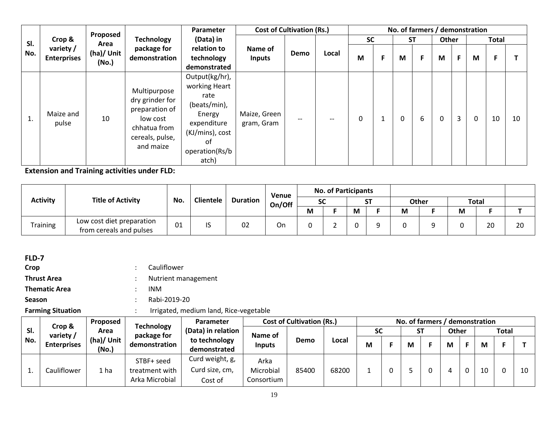|     |                                 | Proposed            |                                                                                                               | Parameter                                                                                                                            | <b>Cost of Cultivation (Rs.)</b> |      |       |           |   | No. of farmers / demonstration |   |       |   |          |              |    |
|-----|---------------------------------|---------------------|---------------------------------------------------------------------------------------------------------------|--------------------------------------------------------------------------------------------------------------------------------------|----------------------------------|------|-------|-----------|---|--------------------------------|---|-------|---|----------|--------------|----|
| SI. | Crop &                          | Area                | <b>Technology</b>                                                                                             | (Data) in                                                                                                                            |                                  |      |       | <b>SC</b> |   | <b>ST</b>                      |   | Other |   |          | <b>Total</b> |    |
| No. | variety /<br><b>Enterprises</b> | (ha)/ Unit<br>(No.) | package for<br>demonstration                                                                                  | relation to<br>technology<br>demonstrated                                                                                            | Name of<br><b>Inputs</b>         | Demo | Local | M         | F | M                              | F | M     | F | M        | F            |    |
| T.  | Maize and<br>pulse              | 10                  | Multipurpose<br>dry grinder for<br>preparation of<br>low cost<br>chhatua from<br>cereals, pulse,<br>and maize | Output(kg/hr),<br>working Heart<br>rate<br>(beats/min),<br>Energy<br>expenditure<br>(KJ/mins), cost<br>of<br>operation(Rs/b<br>atch) | Maize, Green<br>gram, Gram       |      |       | 0         |   | 0                              | 6 | 0     | 3 | $\Omega$ | 10           | 10 |

| <b>Activity</b> |                                                      |     |                  |                 | Venue  |           | <b>No. of Participants</b> |   |           |   |              |   |              |    |
|-----------------|------------------------------------------------------|-----|------------------|-----------------|--------|-----------|----------------------------|---|-----------|---|--------------|---|--------------|----|
|                 | <b>Title of Activity</b>                             | No. | <b>Clientele</b> | <b>Duration</b> | On/Off | <b>SC</b> |                            |   | <b>ST</b> |   | <b>Other</b> |   | <b>Total</b> |    |
|                 |                                                      |     |                  |                 |        | М         |                            | M |           | M |              | M |              |    |
| <b>Training</b> | Low cost diet preparation<br>from cereals and pulses | 01  | $\sim$<br>ر ا    | 02              | On     |           |                            |   |           |   |              |   | 20           | 20 |

| <b>Farming Situation</b> |  | Irrigated, medium land, Rice-vegetable |
|--------------------------|--|----------------------------------------|
| <b>Season</b>            |  | Rabi-2019-20                           |
| <b>Thematic Area</b>     |  | <b>INM</b>                             |
| <b>Thrust Area</b>       |  | Nutrient management                    |
| Crop                     |  | Cauliflower                            |
| FLD-7                    |  |                                        |

|     | Crop &             | Proposed            | <b>Technology</b>                              | <b>Parameter</b>                             |                                 | <b>Cost of Cultivation (Rs.)</b> |       |    |           |       |    | No. of farmers / demonstration |              |    |
|-----|--------------------|---------------------|------------------------------------------------|----------------------------------------------|---------------------------------|----------------------------------|-------|----|-----------|-------|----|--------------------------------|--------------|----|
| SI. | variety /          | Area                | package for                                    | (Data) in relation                           | Name of                         |                                  |       | SC | <b>ST</b> | Other |    |                                | <b>Total</b> |    |
| No. | <b>Enterprises</b> | (ha)/ Unit<br>(No.) | demonstration                                  | to technology<br>demonstrated                | <b>Inputs</b>                   | Demo                             | Local | М  | М         | M     | Е. | M                              |              |    |
|     | Cauliflower        | ⊥ ha                | STBF+ seed<br>treatment with<br>Arka Microbial | Curd weight, g,<br>Curd size, cm,<br>Cost of | Arka<br>Microbial<br>Consortium | 85400                            | 68200 |    |           |       | 0  | 10                             |              | 10 |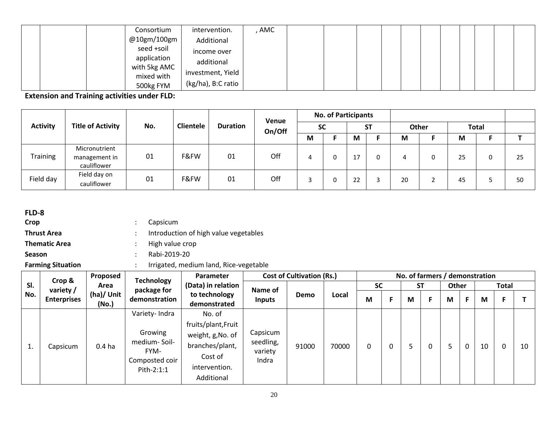|  | Consortium                 | intervention.      | AMC |  |  |  |  |  |  |
|--|----------------------------|--------------------|-----|--|--|--|--|--|--|
|  | @10gm/100gm                | Additional         |     |  |  |  |  |  |  |
|  | seed +soil                 | income over        |     |  |  |  |  |  |  |
|  | application                | additional         |     |  |  |  |  |  |  |
|  | with 5kg AMC<br>mixed with | investment, Yield  |     |  |  |  |  |  |  |
|  | 500kg FYM                  | (kg/ha), B:C ratio |     |  |  |  |  |  |  |

|                 |                                               |     |                  |                 | Venue  |           | <b>No. of Participants</b> |    |           |    |       |    |              |    |
|-----------------|-----------------------------------------------|-----|------------------|-----------------|--------|-----------|----------------------------|----|-----------|----|-------|----|--------------|----|
| <b>Activity</b> | <b>Title of Activity</b>                      | No. | <b>Clientele</b> | <b>Duration</b> | On/Off | <b>SC</b> |                            |    | <b>ST</b> |    | Other |    | <b>Total</b> |    |
|                 |                                               |     |                  |                 |        | M         |                            | М  |           | M  |       | M  |              |    |
| <b>Training</b> | Micronutrient<br>management in<br>cauliflower | 01  | F&FW             | 01              | Off    | 4         |                            |    |           |    | ◠     | 25 | 0            | 25 |
| Field day       | Field day on<br>cauliflower                   | 01  | F&FW             | 01              | Off    | ∍         | 0                          | 22 |           | 20 |       | 45 |              | 50 |

## **FLD-8**

- **Crop** : Capsicum
- **Thrust Area introduction of high value vegetables**
- **Thematic Area in the contract in the crop :** High value crop
- **Season** : Rabi-2019-20
- 

**Farming Situation** : Irrigated, medium land, Rice-vegetable

|     | Crop &             | Proposed            | <b>Technology</b>                                               | <b>Parameter</b>                                                               |                                           | <b>Cost of Cultivation (Rs.)</b> |       |           |   |   |           |       |              | No. of farmers / demonstration |              |    |
|-----|--------------------|---------------------|-----------------------------------------------------------------|--------------------------------------------------------------------------------|-------------------------------------------|----------------------------------|-------|-----------|---|---|-----------|-------|--------------|--------------------------------|--------------|----|
| SI. | variety /          | Area                | package for                                                     | (Data) in relation                                                             | Name of                                   |                                  |       | <b>SC</b> |   |   | <b>ST</b> | Other |              |                                | <b>Total</b> |    |
| No. | <b>Enterprises</b> | (ha)/ Unit<br>(No.) | demonstration                                                   | to technology<br>demonstrated                                                  | <b>Inputs</b>                             | Demo                             | Local | M         | F | М |           | M     | F.           | M                              | F            |    |
|     |                    |                     | Variety-Indra                                                   | No. of<br>fruits/plant, Fruit                                                  |                                           |                                  |       |           |   |   |           |       |              |                                |              |    |
| 1.  | Capsicum           | 0.4 <sub>ha</sub>   | Growing<br>medium-Soil-<br>FYM-<br>Composted coir<br>Pith-2:1:1 | weight, g, No. of<br>branches/plant,<br>Cost of<br>intervention.<br>Additional | Capsicum<br>seedling,<br>variety<br>Indra | 91000                            | 70000 | 0         |   |   | 0         | 5     | $\mathbf{0}$ | 10                             | $\Omega$     | 10 |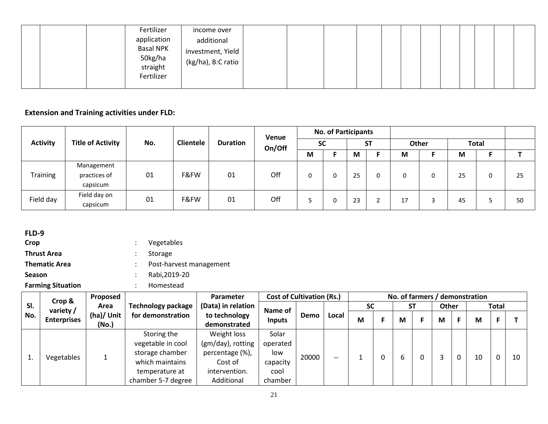|  | Fertilizer<br>application<br>Basal NPK<br>50kg/ha<br>straight | income over<br>additional<br>investment, Yield<br>$(kg/ha)$ , B:C ratio |  |  |  |  |  |  |
|--|---------------------------------------------------------------|-------------------------------------------------------------------------|--|--|--|--|--|--|
|  | Fertilizer                                                    |                                                                         |  |  |  |  |  |  |

|                 |                                        |     |                  |                 | Venue  |           | <b>No. of Participants</b> |    |           |          |       |    |              |    |
|-----------------|----------------------------------------|-----|------------------|-----------------|--------|-----------|----------------------------|----|-----------|----------|-------|----|--------------|----|
| <b>Activity</b> | <b>Title of Activity</b>               | No. | <b>Clientele</b> | <b>Duration</b> | On/Off | <b>SC</b> |                            |    | <b>ST</b> |          | Other |    | <b>Total</b> |    |
|                 |                                        |     |                  |                 |        | M         |                            | M  |           | M        |       | M  |              |    |
| <b>Training</b> | Management<br>practices of<br>capsicum | 01  | F&FW             | 01              | Off    |           |                            | 25 |           |          |       | 25 | 0            | 25 |
| Field day       | Field day on<br>capsicum               | 01  | F&FW             | 01              | Off    |           |                            | 23 |           | 17<br>⊥∕ |       | 45 | د.           | 50 |

| FLD-9                    |                         |  |
|--------------------------|-------------------------|--|
| Crop                     | Vegetables              |  |
| <b>Thrust Area</b>       | Storage                 |  |
| <b>Thematic Area</b>     | Post-harvest management |  |
| <b>Season</b>            | Rabi, 2019-20           |  |
| <b>Farming Situation</b> | Homestead               |  |

**Sl. No. Crop & variety / Enterprises Proposed Area (ha)/ Unit (No.) Technology package for demonstration Parameter (Data) in relation to technology demonstrated** Cost of Cultivation (Rs.) **No. of farmers / demonstration Name of Inputs Demo Local SC ST Other Total M F M F M F M F T** 1. Vegetables 1 Storing the vegetable in cool storage chamber which maintains temperature at chamber 5-7 degree Weight loss (gm/day), rotting percentage (%), Cost of intervention. Additional Solar operated low capacity cool chamber 20000 | -- | 1 | 0 | 6 | 0 | 3 |0 | 10 |0 | 10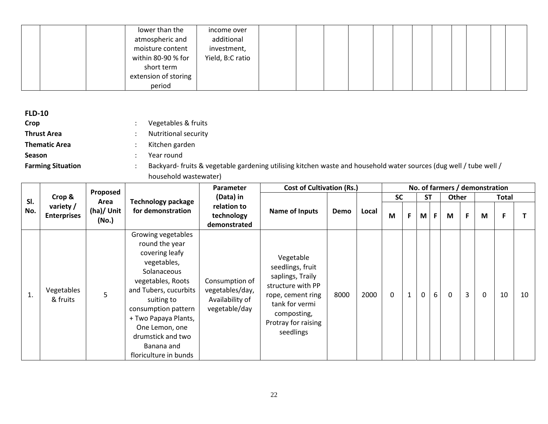|  | lower than the       | income over      |  |  |  |  |  |  |
|--|----------------------|------------------|--|--|--|--|--|--|
|  | atmospheric and      | additional       |  |  |  |  |  |  |
|  | moisture content     | investment,      |  |  |  |  |  |  |
|  | within 80-90 % for   | Yield, B:C ratio |  |  |  |  |  |  |
|  | short term           |                  |  |  |  |  |  |  |
|  | extension of storing |                  |  |  |  |  |  |  |
|  | period               |                  |  |  |  |  |  |  |

| <b>FLD-10</b>            |                                                               |
|--------------------------|---------------------------------------------------------------|
| Crop                     | Vegetables & fruits                                           |
| <b>Thrust Area</b>       | <b>Nutritional security</b><br>٠                              |
| <b>Thematic Area</b>     | Kitchen garden<br>÷                                           |
| <b>Season</b>            | Year round                                                    |
| <b>Farming Situation</b> | Backyard-fruits & vegetable gardening utilising kitchen waste |
|                          |                                                               |

: and household water sources (dug well / tube well / household wastewater)

|     |                                | Proposed            |                                                                                                                                                                                                                                                                               | <b>Parameter</b>                                                      | <b>Cost of Cultivation (Rs.)</b>                                                                                                                                 |      |       |           |              |             |    |             |                | No. of farmers / demonstration |       |    |
|-----|--------------------------------|---------------------|-------------------------------------------------------------------------------------------------------------------------------------------------------------------------------------------------------------------------------------------------------------------------------|-----------------------------------------------------------------------|------------------------------------------------------------------------------------------------------------------------------------------------------------------|------|-------|-----------|--------------|-------------|----|-------------|----------------|--------------------------------|-------|----|
| SI. | Crop &                         | Area                | <b>Technology package</b>                                                                                                                                                                                                                                                     | (Data) in                                                             |                                                                                                                                                                  |      |       | <b>SC</b> |              | <b>ST</b>   |    | Other       |                |                                | Total |    |
| No. | variety/<br><b>Enterprises</b> | (ha)/ Unit<br>(No.) | for demonstration                                                                                                                                                                                                                                                             | relation to<br>technology<br>demonstrated                             | <b>Name of Inputs</b>                                                                                                                                            | Demo | Local | M         | F            | M           | F. | M           | F              | M                              | F     |    |
|     | Vegetables<br>& fruits         | 5                   | Growing vegetables<br>round the year<br>covering leafy<br>vegetables,<br>Solanaceous<br>vegetables, Roots<br>and Tubers, cucurbits<br>suiting to<br>consumption pattern<br>+ Two Papaya Plants,<br>One Lemon, one<br>drumstick and two<br>Banana and<br>floriculture in bunds | Consumption of<br>vegetables/day,<br>Availability of<br>vegetable/day | Vegetable<br>seedlings, fruit<br>saplings, Traily<br>structure with PP<br>rope, cement ring<br>tank for vermi<br>composting,<br>Protray for raising<br>seedlings | 8000 | 2000  | $\Omega$  | $\mathbf{1}$ | $\mathbf 0$ | 6  | $\mathbf 0$ | $\overline{3}$ | $\mathbf 0$                    | 10    | 10 |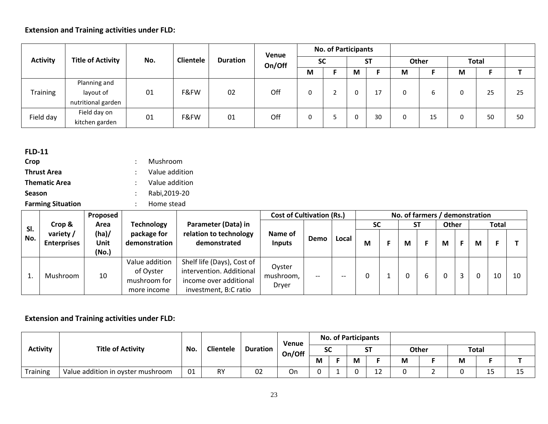|                 |                                                 |     |                  |                 | Venue  |           | <b>No. of Participants</b> |   |           |   |       |   |              |    |
|-----------------|-------------------------------------------------|-----|------------------|-----------------|--------|-----------|----------------------------|---|-----------|---|-------|---|--------------|----|
| <b>Activity</b> | <b>Title of Activity</b>                        | No. | <b>Clientele</b> | <b>Duration</b> | On/Off | <b>SC</b> |                            |   | <b>ST</b> |   | Other |   | <b>Total</b> |    |
|                 |                                                 |     |                  |                 |        | M         |                            | М |           | M |       | M | F.           |    |
| Training        | Planning and<br>layout of<br>nutritional garden | 01  | F&FW             | 02              | Off    | 0         |                            |   | 17        | 0 | ь     | 0 | 25           | 25 |
| Field day       | Field day on<br>kitchen garden                  | 01  | F&FW             | 01              | Off    | 0         |                            |   | 30        | 0 | 15    | 0 | 50           | 50 |

| <b>FLD-11</b>            |                |
|--------------------------|----------------|
| Crop                     | Mushroom       |
| <b>Thrust Area</b>       | Value addition |
| <b>Thematic Area</b>     | Value addition |
| <b>Season</b>            | Rabi, 2019-20  |
| <b>Farming Situation</b> | Home stead     |

|     |                                 | Proposed              |                                                            |                                                                                                           | <b>Cost of Cultivation (Rs.)</b> |                                       |       |           |    | No. of farmers / demonstration |       |    |   |              |    |
|-----|---------------------------------|-----------------------|------------------------------------------------------------|-----------------------------------------------------------------------------------------------------------|----------------------------------|---------------------------------------|-------|-----------|----|--------------------------------|-------|----|---|--------------|----|
| SI. | Crop &                          | Area                  | <b>Technology</b>                                          | Parameter (Data) in                                                                                       |                                  |                                       |       | <b>SC</b> | SΤ |                                | Other |    |   | <b>Total</b> |    |
| No. | variety /<br><b>Enterprises</b> | (ha)<br>Unit<br>(No.) | package for<br>demonstration                               | relation to technology<br>demonstrated                                                                    | Name of<br><b>Inputs</b>         | Demo                                  | Local | М         | М  |                                | М     | F. | M | F.           |    |
|     | Mushroom                        | 10                    | Value addition<br>of Oyster<br>mushroom for<br>more income | Shelf life (Days), Cost of<br>intervention. Additional<br>income over additional<br>investment, B:C ratio | Oyster<br>mushroom,<br>Dryer     | $\hspace{0.05cm}$ – $\hspace{0.05cm}$ | --    |           |    | 6                              |       |    |   | 10           | 10 |

|                 |                                   |     |                  |                 | Venue  |           | <b>No. of Participants</b> |                  |   |       |              |                       |   |
|-----------------|-----------------------------------|-----|------------------|-----------------|--------|-----------|----------------------------|------------------|---|-------|--------------|-----------------------|---|
| <b>Activity</b> | <b>Title of Activity</b>          | No. | <b>Clientele</b> | <b>Duration</b> | On/Off | <b>SC</b> |                            | <b>ST</b><br>ا پ |   | Other | <b>Total</b> |                       |   |
|                 |                                   |     |                  |                 |        | M         | M                          |                  | M |       | M            |                       |   |
| Training        | Value addition in oyster mushroom | 01  | <b>RY</b>        | 02              | On     |           |                            | 12<br>∸∸         |   |       |              | $\overline{ }$<br>ر ـ | ᆚ |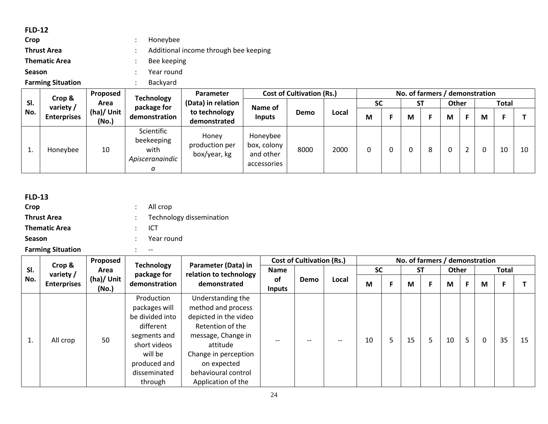### **FLD-12**

| $:$ Honeybee                          |
|---------------------------------------|
| Additional income through bee keeping |
| Bee keeping                           |
| Year round                            |
|                                       |

**Farming Situation 1988** : Backyard

|     | Proposed<br>Crop & |                     | <b>Technology</b>                                        | Parameter                               |                                                     | <b>Cost of Cultivation (Rs.)</b><br>No. of farmers / demonstration |       |           |  |           |   |              |  |   |              |    |
|-----|--------------------|---------------------|----------------------------------------------------------|-----------------------------------------|-----------------------------------------------------|--------------------------------------------------------------------|-------|-----------|--|-----------|---|--------------|--|---|--------------|----|
| SI. | variety /          | Area                | package for                                              | (Data) in relation                      | Name of                                             |                                                                    |       | <b>SC</b> |  | <b>ST</b> |   | <b>Other</b> |  |   | <b>Total</b> |    |
| No. | <b>Enterprises</b> | (ha)/ Unit<br>(No.) | demonstration                                            | to technology<br>demonstrated           | <b>Inputs</b>                                       | Demo                                                               | Local | M         |  | м         |   | M            |  | М |              |    |
|     | Honeybee           | 10                  | Scientific<br>beekeeping<br>with<br>Apisceranaindic<br>а | Honey<br>production per<br>box/year, kg | Honeybee<br>box, colony<br>and other<br>accessories | 8000                                                               | 2000  |           |  |           | 8 |              |  |   | 10           | 10 |

| <b>FLD-13</b>            |                          |
|--------------------------|--------------------------|
| Crop                     | All crop                 |
| <b>Thrust Area</b>       | Technology dissemination |
| <b>Thematic Area</b>     | ICT                      |
| <b>Season</b>            | $:$ Year round           |
| <b>Farming Situation</b> | $- -$                    |

|     |                     | Proposed            | <b>Technology</b>                                                                                                                                 |                                                                                                                                                                                                            |                            | <b>Cost of Cultivation (Rs.)</b> |       |           |    | No. of farmers / demonstration |           |       |   |          |              |    |
|-----|---------------------|---------------------|---------------------------------------------------------------------------------------------------------------------------------------------------|------------------------------------------------------------------------------------------------------------------------------------------------------------------------------------------------------------|----------------------------|----------------------------------|-------|-----------|----|--------------------------------|-----------|-------|---|----------|--------------|----|
| SI. | Crop &<br>variety / | Area                | package for                                                                                                                                       | Parameter (Data) in<br>relation to technology                                                                                                                                                              | Name                       |                                  |       | <b>SC</b> |    |                                | <b>ST</b> | Other |   |          | <b>Total</b> |    |
| No. | <b>Enterprises</b>  | (ha)/ Unit<br>(No.) | demonstration                                                                                                                                     | demonstrated                                                                                                                                                                                               | <b>of</b><br><b>Inputs</b> | <b>Demo</b>                      | Local | М         | F. | M                              |           | M     | F | M        | F            |    |
| 1.  | All crop            | 50                  | Production<br>packages will<br>be divided into<br>different<br>segments and<br>short videos<br>will be<br>produced and<br>disseminated<br>through | Understanding the<br>method and process<br>depicted in the video<br>Retention of the<br>message, Change in<br>attitude<br>Change in perception<br>on expected<br>behavioural control<br>Application of the |                            |                                  | $- -$ | 10        | 5  | 15                             | 5         | 10    | 5 | $\Omega$ | 35           | 15 |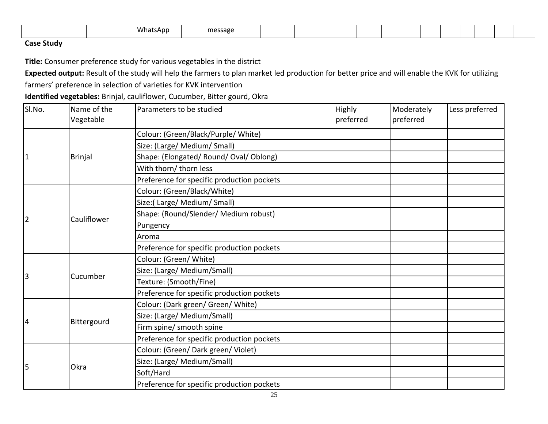|  |  |  |  | $\sim$ $\sim$ $\sim$<br>What<br>∸AD∟<br>הו | рссарр<br>. . |  |  |  |  |  |  |  |  |  |  |  |  |
|--|--|--|--|--------------------------------------------|---------------|--|--|--|--|--|--|--|--|--|--|--|--|
|--|--|--|--|--------------------------------------------|---------------|--|--|--|--|--|--|--|--|--|--|--|--|

### **Case Study**

**Title:** Consumer preference study for various vegetables in the district

**Expected output:** Result of the study will help the farmers to plan market led production for better price and will enable the KVK for utilizing

farmers' preference in selection of varieties for KVK intervention

**Identified vegetables:** Brinjal, cauliflower, Cucumber, Bitter gourd, Okra

| SI.No.         | Name of the<br>Vegetable | Parameters to be studied                   | Highly<br>preferred | Moderately<br>preferred | Less preferred |
|----------------|--------------------------|--------------------------------------------|---------------------|-------------------------|----------------|
|                |                          | Colour: (Green/Black/Purple/ White)        |                     |                         |                |
|                |                          | Size: (Large/ Medium/ Small)               |                     |                         |                |
| $\overline{1}$ | <b>Brinjal</b>           | Shape: (Elongated/ Round/ Oval/ Oblong)    |                     |                         |                |
|                |                          | With thorn/ thorn less                     |                     |                         |                |
|                |                          | Preference for specific production pockets |                     |                         |                |
|                |                          | Colour: (Green/Black/White)                |                     |                         |                |
|                |                          | Size:(Large/Medium/Small)                  |                     |                         |                |
| $\overline{2}$ | Cauliflower              | Shape: (Round/Slender/ Medium robust)      |                     |                         |                |
|                |                          | Pungency                                   |                     |                         |                |
|                |                          | Aroma                                      |                     |                         |                |
|                |                          | Preference for specific production pockets |                     |                         |                |
|                |                          | Colour: (Green/ White)                     |                     |                         |                |
| $\overline{3}$ | Cucumber                 | Size: (Large/ Medium/Small)                |                     |                         |                |
|                |                          | Texture: (Smooth/Fine)                     |                     |                         |                |
|                |                          | Preference for specific production pockets |                     |                         |                |
|                |                          | Colour: (Dark green/ Green/ White)         |                     |                         |                |
| $\overline{4}$ | Bittergourd              | Size: (Large/ Medium/Small)                |                     |                         |                |
|                |                          | Firm spine/ smooth spine                   |                     |                         |                |
|                |                          | Preference for specific production pockets |                     |                         |                |
|                |                          | Colour: (Green/ Dark green/ Violet)        |                     |                         |                |
| 5              | Okra                     | Size: (Large/ Medium/Small)                |                     |                         |                |
|                |                          | Soft/Hard                                  |                     |                         |                |
|                |                          | Preference for specific production pockets |                     |                         |                |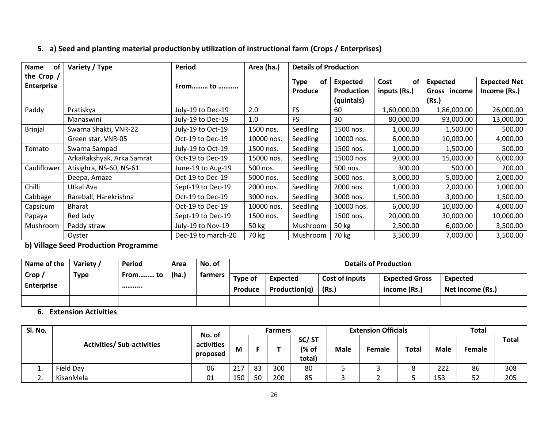### **5. a) Seed and planting material productionby utilization of instructional farm (Crops / Enterprises)**

| of<br><b>Name</b>                 | Variety / Type            | <b>Period</b>      | Area (ha.) | <b>Details of Production</b> |                                                    |                            |                                          |                                     |
|-----------------------------------|---------------------------|--------------------|------------|------------------------------|----------------------------------------------------|----------------------------|------------------------------------------|-------------------------------------|
| the Crop $/$<br><b>Enterprise</b> |                           | From to            |            | Type<br>οt<br><b>Produce</b> | <b>Expected</b><br><b>Production</b><br>(quintals) | of<br>Cost<br>inputs (Rs.) | <b>Expected</b><br>Gross income<br>(Rs.) | <b>Expected Net</b><br>Income (Rs.) |
| Paddy                             | Pratiskya                 | July-19 to Dec-19  | 2.0        | <b>FS</b>                    | 60                                                 | 1,60,000.00                | 1,86,000.00                              | 26,000.00                           |
|                                   | Manaswini                 | July-19 to Dec-19  | 1.0        | <b>FS</b>                    | 30                                                 | 80.000.00                  | 93,000.00                                | 13,000.00                           |
| <b>Brinjal</b>                    | Swarna Shakti, VNR-22     | July-19 to Oct-19  | 1500 nos.  | Seedling                     | 1500 nos.                                          | 1,000.00                   | 1,500.00                                 | 500.00                              |
|                                   | Green star, VNR-05        | Oct-19 to Dec-19   | 10000 nos. | Seedling                     | 10000 nos.                                         | 6,000.00                   | 10,000.00                                | 4,000.00                            |
| Tomato                            | Swarna Sampad             | July-19 to Oct-19  | 1500 nos.  | Seedling                     | 1500 nos.                                          | 1,000.00                   | 1,500.00                                 | 500.00                              |
|                                   | ArkaRakshyak, Arka Samrat | Oct-19 to Dec-19   | 15000 nos. | Seedling                     | 15000 nos.                                         | 9,000.00                   | 15,000.00                                | 6,000.00                            |
| Cauliflower                       | Atisighra, NS-60, NS-61   | June-19 to Aug-19  | 500 nos.   | Seedling                     | 500 nos.                                           | 300.00                     | 500.00                                   | 200.00                              |
|                                   | Deepa, Amaze              | Oct-19 to Dec-19   | 5000 nos.  | Seedling                     | 5000 nos.                                          | 3,000.00                   | 5,000.00                                 | 2,000.00                            |
| Chilli                            | Utkal Ava                 | Sept-19 to Dec-19  | 2000 nos.  | Seedling                     | 2000 nos.                                          | 1,000.00                   | 2,000.00                                 | 1,000.00                            |
| Cabbage                           | Rareball, Harekrishna     | Oct-19 to Dec-19   | 3000 nos.  | Seedling                     | 3000 nos.                                          | 1,500.00                   | 3,000.00                                 | 1,500.00                            |
| Capsicum                          | Bharat                    | Oct-19 to Dec-19   | 10000 nos. | Seedling                     | 10000 nos.                                         | 6,000.00                   | 10,000.00                                | 4,000.00                            |
| Papaya                            | Red lady                  | Sept-19 to Dec-19  | 1500 nos.  | Seedling                     | 1500 nos.                                          | 20,000.00                  | 30,000.00                                | 10,000.00                           |
| Mushroom                          | Paddy straw               | July-19 to Nov-19  | 50 kg      | Mushroom                     | 50 kg                                              | 2,500.00                   | 6,000.00                                 | 3,500.00                            |
|                                   | Oyster                    | Dec-19 to march-20 | 70 kg      | Mushroom                     | 70 kg                                              | 3,500.00                   | 7,000.00                                 | 3,500.00                            |

**b) Village Seed Production Programme**

| Name of the                 | Variety /   | Period      | Area  | No. of         |                    |                                  | <b>Details of Production</b> |                                       |                              |
|-----------------------------|-------------|-------------|-------|----------------|--------------------|----------------------------------|------------------------------|---------------------------------------|------------------------------|
| Crop /<br><b>Enterprise</b> | <b>Type</b> | From to<br> | (ha.) | <b>tarmers</b> | Type of<br>Produce | <b>Expected</b><br>Production(a) | Cost of inputs<br>(Rs.)      | <b>Expected Gross</b><br>income (Rs.) | Expected<br>Net Income (Rs.) |
|                             |             |             |       |                |                    |                                  |                              |                                       |                              |

# **6. Extension Activities**

| Sl. No.  |                                   | No. of                 |     |    | <b>Farmers</b> |                          |             | <b>Extension Officials</b> |              |             | <b>Total</b> |              |
|----------|-----------------------------------|------------------------|-----|----|----------------|--------------------------|-------------|----------------------------|--------------|-------------|--------------|--------------|
|          | <b>Activities/ Sub-activities</b> | activities<br>proposed | М   |    |                | SC/ST<br>(% of<br>total) | <b>Male</b> | Female                     | <b>Total</b> | <b>Male</b> | Female       | <b>Total</b> |
| ᆠ.       | <b>Field Dav</b>                  | 06                     | 217 | 83 | 300            | 80                       |             |                            | o            | 222         | 86           | 308          |
| <u>.</u> | KisanMela                         | 01                     | 150 | 50 | 200            | 85                       |             |                            |              | 153         | 52           | 205          |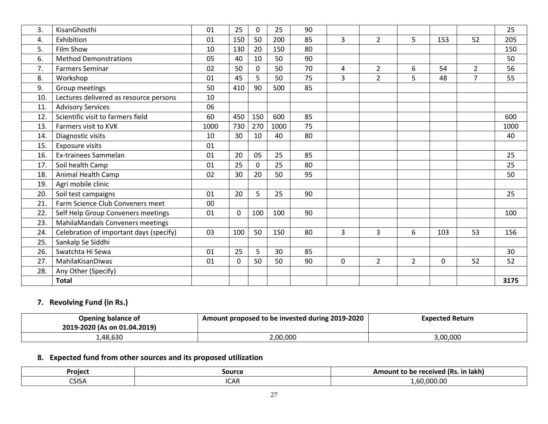| 3.  | KisanGhosthi                            | 01   | 25          | $\Omega$ | 25   | 90 |              |                |                |              |                | 25   |
|-----|-----------------------------------------|------|-------------|----------|------|----|--------------|----------------|----------------|--------------|----------------|------|
| 4.  | Exhibition                              | 01   | 150         | 50       | 200  | 85 | 3            | $\overline{2}$ | 5              | 153          | 52             | 205  |
| 5.  | <b>Film Show</b>                        | 10   | 130         | 20       | 150  | 80 |              |                |                |              |                | 150  |
| 6.  | <b>Method Demonstrations</b>            | 05   | 40          | 10       | 50   | 90 |              |                |                |              |                | 50   |
| 7.  | <b>Farmers Seminar</b>                  | 02   | 50          | $\Omega$ | 50   | 70 | 4            | $\overline{2}$ | 6              | 54           | $\overline{2}$ | 56   |
| 8.  | Workshop                                | 01   | 45          | 5        | 50   | 75 | 3            | $\overline{2}$ | 5              | 48           | $\overline{7}$ | 55   |
| 9.  | Group meetings                          | 50   | 410         | 90       | 500  | 85 |              |                |                |              |                |      |
| 10. | Lectures delivered as resource persons  | 10   |             |          |      |    |              |                |                |              |                |      |
| 11. | <b>Advisory Services</b>                | 06   |             |          |      |    |              |                |                |              |                |      |
| 12. | Scientific visit to farmers field       | 60   | 450         | 150      | 600  | 85 |              |                |                |              |                | 600  |
| 13. | Farmers visit to KVK                    | 1000 | 730         | 270      | 1000 | 75 |              |                |                |              |                | 1000 |
| 14. | Diagnostic visits                       | 10   | 30          | 10       | 40   | 80 |              |                |                |              |                | 40   |
| 15. | Exposure visits                         | 01   |             |          |      |    |              |                |                |              |                |      |
| 16. | Ex-trainees Sammelan                    | 01   | 20          | 05       | 25   | 85 |              |                |                |              |                | 25   |
| 17. | Soil health Camp                        | 01   | 25          | $\Omega$ | 25   | 80 |              |                |                |              |                | 25   |
| 18. | Animal Health Camp                      | 02   | 30          | 20       | 50   | 95 |              |                |                |              |                | 50   |
| 19. | Agri mobile clinic                      |      |             |          |      |    |              |                |                |              |                |      |
| 20. | Soil test campaigns                     | 01   | 20          | 5        | 25   | 90 |              |                |                |              |                | 25   |
| 21. | Farm Science Club Conveners meet        | 00   |             |          |      |    |              |                |                |              |                |      |
| 22. | Self Help Group Conveners meetings      | 01   | $\mathbf 0$ | 100      | 100  | 90 |              |                |                |              |                | 100  |
| 23. | MahilaMandals Conveners meetings        |      |             |          |      |    |              |                |                |              |                |      |
| 24. | Celebration of important days (specify) | 03   | 100         | 50       | 150  | 80 | 3            | 3              | 6              | 103          | 53             | 156  |
| 25. | Sankalp Se Siddhi                       |      |             |          |      |    |              |                |                |              |                |      |
| 26. | Swatchta Hi Sewa                        | 01   | 25          | 5        | 30   | 85 |              |                |                |              |                | 30   |
| 27. | MahilaKisanDiwas                        | 01   | $\mathbf 0$ | 50       | 50   | 90 | $\mathbf{0}$ | $\overline{2}$ | $\overline{2}$ | $\mathbf{0}$ | 52             | 52   |
| 28. | Any Other (Specify)                     |      |             |          |      |    |              |                |                |              |                |      |
|     | <b>Total</b>                            |      |             |          |      |    |              |                |                |              |                | 3175 |

# **7. Revolving Fund (in Rs.)**

| Opening balance of           | Amount proposed to be invested during 2019-2020 | <b>Expected Return</b> |
|------------------------------|-------------------------------------------------|------------------------|
| 2019-2020 (As on 01.04.2019) |                                                 |                        |
| ,48,630                      | .00,000                                         | 3,00,000               |

# **8. Expected fund from other sources and its proposed utilization**

| Projec       | Source                       | Amount to be received (Rs.<br>in lakh) |
|--------------|------------------------------|----------------------------------------|
| <b>CSISA</b> | $\sim$ $\sim$<br>'ΛE<br>ורשו | 0.0000<br>.<br>. .<br>.                |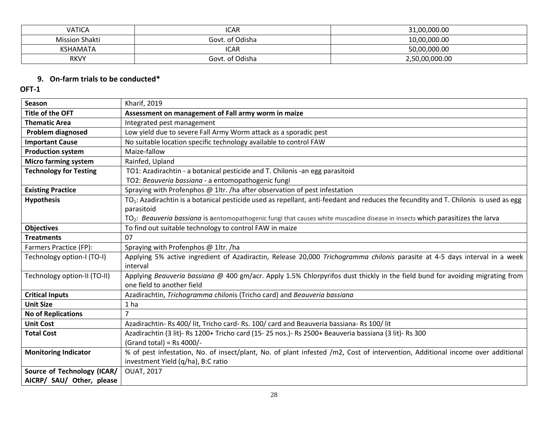| <b>VATICA</b>         | <b>ICAR</b>     | 31,00,000.00   |
|-----------------------|-----------------|----------------|
| <b>Mission Shakti</b> | Govt. of Odisha | 10,00,000.00   |
| KSHAMATA              | ICAR            | 50,00,000.00   |
| <b>RKVY</b>           | Govt. of Odisha | 2,50,00,000.00 |

## **9. On-farm trials to be conducted\***

| <b>Season</b>                 | Kharif, 2019                                                                                                                                     |
|-------------------------------|--------------------------------------------------------------------------------------------------------------------------------------------------|
| Title of the OFT              | Assessment on management of Fall army worm in maize                                                                                              |
| <b>Thematic Area</b>          | Integrated pest management                                                                                                                       |
| <b>Problem diagnosed</b>      | Low yield due to severe Fall Army Worm attack as a sporadic pest                                                                                 |
| <b>Important Cause</b>        | No suitable location specific technology available to control FAW                                                                                |
| <b>Production system</b>      | Maize-fallow                                                                                                                                     |
| <b>Micro farming system</b>   | Rainfed, Upland                                                                                                                                  |
| <b>Technology for Testing</b> | TO1: Azadirachtin - a botanical pesticide and T. Chilonis -an egg parasitoid                                                                     |
|                               | TO2: Beauveria bassiana - a entomopathogenic fungi                                                                                               |
| <b>Existing Practice</b>      | Spraying with Profenphos @ 1ltr. /ha after observation of pest infestation                                                                       |
| <b>Hypothesis</b>             | TO <sub>1</sub> : Azadirachtin is a botanical pesticide used as repellant, anti-feedant and reduces the fecundity and T. Chilonis is used as egg |
|                               | parasitoid                                                                                                                                       |
|                               | TO <sub>2</sub> : Beauveria bassiana is aentomopathogenic fungi that causes white muscadine disease in insects which parasitizes the larva       |
| <b>Objectives</b>             | To find out suitable technology to control FAW in maize                                                                                          |
| <b>Treatments</b>             | 07                                                                                                                                               |
| Farmers Practice (FP):        | Spraying with Profenphos @ 1ltr. /ha                                                                                                             |
| Technology option-I (TO-I)    | Applying 5% active ingredient of Azadiractin, Release 20,000 Trichogramma chilonis parasite at 4-5 days interval in a week                       |
|                               | interval                                                                                                                                         |
| Technology option-II (TO-II)  | Applying Beauveria bassiana @ 400 gm/acr. Apply 1.5% Chlorpyrifos dust thickly in the field bund for avoiding migrating from                     |
|                               | one field to another field                                                                                                                       |
| <b>Critical Inputs</b>        | Azadirachtin, Trichogramma chilonis (Tricho card) and Beauveria bassiana                                                                         |
| <b>Unit Size</b>              | 1 <sub>ha</sub>                                                                                                                                  |
| <b>No of Replications</b>     | 7                                                                                                                                                |
| <b>Unit Cost</b>              | Azadirachtin- Rs 400/ lit, Tricho card- Rs. 100/ card and Beauveria bassiana- Rs 100/ lit                                                        |
| <b>Total Cost</b>             | Azadirachtin (3 lit)- Rs 1200+ Tricho card (15-25 nos.)- Rs 2500+ Beauveria bassiana (3 lit)- Rs 300                                             |
|                               | (Grand total) = Rs $4000/-$                                                                                                                      |
| <b>Monitoring Indicator</b>   | % of pest infestation, No. of insect/plant, No. of plant infested /m2, Cost of intervention, Additional income over additional                   |
|                               | investment Yield (q/ha), B:C ratio                                                                                                               |
| Source of Technology (ICAR/   | <b>OUAT, 2017</b>                                                                                                                                |
| AICRP/ SAU/ Other, please     |                                                                                                                                                  |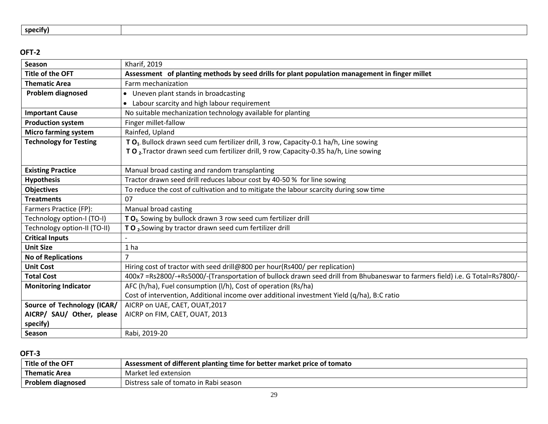| specity) |
|----------|
|----------|

| <b>Season</b>                 | Kharif, 2019                                                                                                                 |
|-------------------------------|------------------------------------------------------------------------------------------------------------------------------|
| <b>Title of the OFT</b>       | Assessment of planting methods by seed drills for plant population management in finger millet                               |
| <b>Thematic Area</b>          | Farm mechanization                                                                                                           |
| <b>Problem diagnosed</b>      | • Uneven plant stands in broadcasting                                                                                        |
|                               | Labour scarcity and high labour requirement                                                                                  |
| <b>Important Cause</b>        | No suitable mechanization technology available for planting                                                                  |
| <b>Production system</b>      | Finger millet-fallow                                                                                                         |
| <b>Micro farming system</b>   | Rainfed, Upland                                                                                                              |
| <b>Technology for Testing</b> | TO <sub>1</sub> . Bullock drawn seed cum fertilizer drill, 3 row, Capacity-0.1 ha/h, Line sowing                             |
|                               | TO <sub>2</sub> . Tractor drawn seed cum fertilizer drill, 9 row Capacity-0.35 ha/h, Line sowing                             |
|                               |                                                                                                                              |
| <b>Existing Practice</b>      | Manual broad casting and random transplanting                                                                                |
| <b>Hypothesis</b>             | Tractor drawn seed drill reduces labour cost by 40-50 % for line sowing                                                      |
| <b>Objectives</b>             | To reduce the cost of cultivation and to mitigate the labour scarcity during sow time                                        |
| <b>Treatments</b>             | 07                                                                                                                           |
| Farmers Practice (FP):        | Manual broad casting                                                                                                         |
| Technology option-I (TO-I)    | TO <sub>1</sub> . Sowing by bullock drawn 3 row seed cum fertilizer drill                                                    |
| Technology option-II (TO-II)  | TO <sub>2</sub> . Sowing by tractor drawn seed cum fertilizer drill                                                          |
| <b>Critical Inputs</b>        |                                                                                                                              |
| <b>Unit Size</b>              | 1 <sub>ha</sub>                                                                                                              |
| <b>No of Replications</b>     |                                                                                                                              |
| <b>Unit Cost</b>              | Hiring cost of tractor with seed drill@800 per hour(Rs400/ per replication)                                                  |
| <b>Total Cost</b>             | 400x7 =Rs2800/-+Rs5000/-(Transportation of bullock drawn seed drill from Bhubaneswar to farmers field) i.e. G Total=Rs7800/- |
| <b>Monitoring Indicator</b>   | AFC (h/ha), Fuel consumption (l/h), Cost of operation (Rs/ha)                                                                |
|                               | Cost of intervention, Additional income over additional investment Yield (q/ha), B:C ratio                                   |
| Source of Technology (ICAR/   | AICRP on UAE, CAET, OUAT, 2017                                                                                               |
| AICRP/ SAU/ Other, please     | AICRP on FIM, CAET, OUAT, 2013                                                                                               |
| specify)                      |                                                                                                                              |
| Season                        | Rabi, 2019-20                                                                                                                |

| Title<br>. of the OFT | Assessment of different planting time for better market price of tomato |
|-----------------------|-------------------------------------------------------------------------|
| <b>Thematic Area</b>  | Market led extension                                                    |
| Problem diagnosed     | Distress sale of tomato in Rabi season                                  |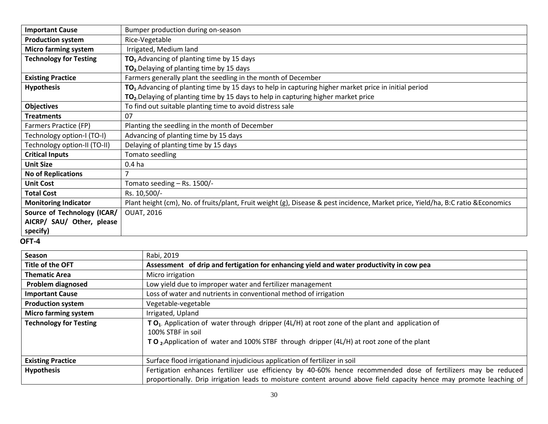| <b>Important Cause</b>        | Bumper production during on-season                                                                                                |
|-------------------------------|-----------------------------------------------------------------------------------------------------------------------------------|
| <b>Production system</b>      | Rice-Vegetable                                                                                                                    |
| <b>Micro farming system</b>   | Irrigated, Medium land                                                                                                            |
| <b>Technology for Testing</b> | TO <sub>1</sub> . Advancing of planting time by 15 days                                                                           |
|                               | TO <sub>2</sub> . Delaying of planting time by 15 days                                                                            |
| <b>Existing Practice</b>      | Farmers generally plant the seedling in the month of December                                                                     |
| <b>Hypothesis</b>             | TO <sub>1</sub> . Advancing of planting time by 15 days to help in capturing higher market price in initial period                |
|                               | TO <sub>2</sub> . Delaying of planting time by 15 days to help in capturing higher market price                                   |
| <b>Objectives</b>             | To find out suitable planting time to avoid distress sale                                                                         |
| <b>Treatments</b>             | 07                                                                                                                                |
| Farmers Practice (FP)         | Planting the seedling in the month of December                                                                                    |
| Technology option-I (TO-I)    | Advancing of planting time by 15 days                                                                                             |
| Technology option-II (TO-II)  | Delaying of planting time by 15 days                                                                                              |
| <b>Critical Inputs</b>        | Tomato seedling                                                                                                                   |
| <b>Unit Size</b>              | 0.4 <sub>ha</sub>                                                                                                                 |
| <b>No of Replications</b>     | ⇁                                                                                                                                 |
| <b>Unit Cost</b>              | Tomato seeding - Rs. 1500/-                                                                                                       |
| <b>Total Cost</b>             | Rs. 10,500/-                                                                                                                      |
| <b>Monitoring Indicator</b>   | Plant height (cm), No. of fruits/plant, Fruit weight (g), Disease & pest incidence, Market price, Yield/ha, B:C ratio & Economics |
| Source of Technology (ICAR/   | <b>OUAT, 2016</b>                                                                                                                 |
| AICRP/ SAU/ Other, please     |                                                                                                                                   |
| specify)                      |                                                                                                                                   |

| Season                        | Rabi, 2019                                                                                                                                                                                                                           |
|-------------------------------|--------------------------------------------------------------------------------------------------------------------------------------------------------------------------------------------------------------------------------------|
| Title of the OFT              | Assessment of drip and fertigation for enhancing yield and water productivity in cow pea                                                                                                                                             |
| <b>Thematic Area</b>          | Micro irrigation                                                                                                                                                                                                                     |
| <b>Problem diagnosed</b>      | Low yield due to improper water and fertilizer management                                                                                                                                                                            |
| <b>Important Cause</b>        | Loss of water and nutrients in conventional method of irrigation                                                                                                                                                                     |
| <b>Production system</b>      | Vegetable-vegetable                                                                                                                                                                                                                  |
| <b>Micro farming system</b>   | Irrigated, Upland                                                                                                                                                                                                                    |
| <b>Technology for Testing</b> | TO <sub>1</sub> . Application of water through dripper (4L/H) at root zone of the plant and application of<br>100% STBF in soil                                                                                                      |
|                               | TO, Application of water and 100% STBF through dripper (4L/H) at root zone of the plant                                                                                                                                              |
| <b>Existing Practice</b>      | Surface flood irrigationand injudicious application of fertilizer in soil                                                                                                                                                            |
| <b>Hypothesis</b>             | Fertigation enhances fertilizer use efficiency by 40-60% hence recommended dose of fertilizers may be reduced<br>proportionally. Drip irrigation leads to moisture content around above field capacity hence may promote leaching of |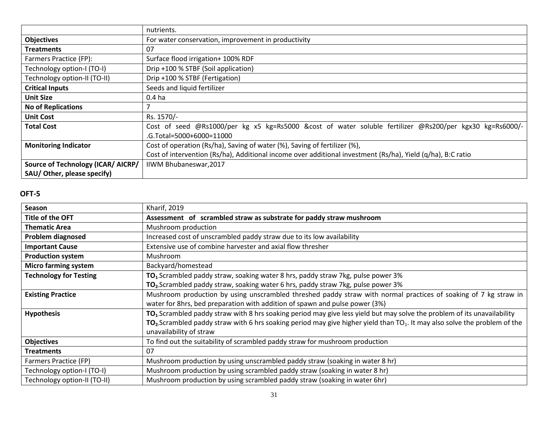|                                    | nutrients.                                                                                                  |
|------------------------------------|-------------------------------------------------------------------------------------------------------------|
| <b>Objectives</b>                  | For water conservation, improvement in productivity                                                         |
| <b>Treatments</b>                  | 07                                                                                                          |
| Farmers Practice (FP):             | Surface flood irrigation+ 100% RDF                                                                          |
| Technology option-I (TO-I)         | Drip +100 % STBF (Soil application)                                                                         |
| Technology option-II (TO-II)       | Drip +100 % STBF (Fertigation)                                                                              |
| <b>Critical Inputs</b>             | Seeds and liquid fertilizer                                                                                 |
| <b>Unit Size</b>                   | 0.4 <sub>ha</sub>                                                                                           |
| <b>No of Replications</b>          |                                                                                                             |
| <b>Unit Cost</b>                   | Rs. 1570/-                                                                                                  |
| <b>Total Cost</b>                  | Cost of seed @Rs1000/per kg x5 kg=Rs5000 &cost of water soluble fertilizer @Rs200/per kgx30 kg=Rs6000/-     |
|                                    | .G.Total=5000+6000=11000                                                                                    |
| <b>Monitoring Indicator</b>        | Cost of operation (Rs/ha), Saving of water (%), Saving of fertilizer (%),                                   |
|                                    | Cost of intervention (Rs/ha), Additional income over additional investment (Rs/ha), Yield (q/ha), B:C ratio |
| Source of Technology (ICAR/ AICRP/ | IIWM Bhubaneswar, 2017                                                                                      |
| SAU/Other, please specify)         |                                                                                                             |

| <b>Season</b>                 | Kharif, 2019                                                                                                                                                                                                                                                                                                 |
|-------------------------------|--------------------------------------------------------------------------------------------------------------------------------------------------------------------------------------------------------------------------------------------------------------------------------------------------------------|
| Title of the OFT              | Assessment of scrambled straw as substrate for paddy straw mushroom                                                                                                                                                                                                                                          |
| <b>Thematic Area</b>          | Mushroom production                                                                                                                                                                                                                                                                                          |
| Problem diagnosed             | Increased cost of unscrambled paddy straw due to its low availability                                                                                                                                                                                                                                        |
| <b>Important Cause</b>        | Extensive use of combine harvester and axial flow thresher                                                                                                                                                                                                                                                   |
| <b>Production system</b>      | Mushroom                                                                                                                                                                                                                                                                                                     |
| <b>Micro farming system</b>   | Backyard/homestead                                                                                                                                                                                                                                                                                           |
| <b>Technology for Testing</b> | TO <sub>1</sub> .Scrambled paddy straw, soaking water 8 hrs, paddy straw 7kg, pulse power 3%                                                                                                                                                                                                                 |
|                               | TO <sub>2</sub> . Scrambled paddy straw, soaking water 6 hrs, paddy straw 7kg, pulse power 3%                                                                                                                                                                                                                |
| <b>Existing Practice</b>      | Mushroom production by using unscrambled threshed paddy straw with normal practices of soaking of 7 kg straw in<br>water for 8hrs, bed preparation with addition of spawn and pulse power (3%)                                                                                                               |
| <b>Hypothesis</b>             | TO <sub>1</sub> .Scrambled paddy straw with 8 hrs soaking period may give less yield but may solve the problem of its unavailability<br>$TO2$ . Scrambled paddy straw with 6 hrs soaking period may give higher yield than TO <sub>1</sub> . It may also solve the problem of the<br>unavailability of straw |
| <b>Objectives</b>             | To find out the suitability of scrambled paddy straw for mushroom production                                                                                                                                                                                                                                 |
| <b>Treatments</b>             | 07                                                                                                                                                                                                                                                                                                           |
| Farmers Practice (FP)         | Mushroom production by using unscrambled paddy straw (soaking in water 8 hr)                                                                                                                                                                                                                                 |
| Technology option-I (TO-I)    | Mushroom production by using scrambled paddy straw (soaking in water 8 hr)                                                                                                                                                                                                                                   |
| Technology option-II (TO-II)  | Mushroom production by using scrambled paddy straw (soaking in water 6hr)                                                                                                                                                                                                                                    |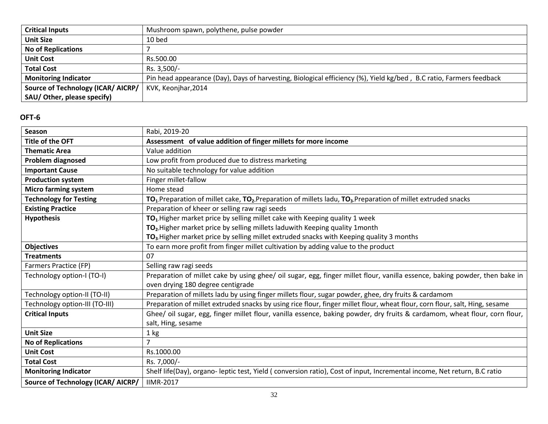| <b>Critical Inputs</b>             | Mushroom spawn, polythene, pulse powder                                                                             |  |  |  |  |  |
|------------------------------------|---------------------------------------------------------------------------------------------------------------------|--|--|--|--|--|
| <b>Unit Size</b>                   | 10 bed                                                                                                              |  |  |  |  |  |
| <b>No of Replications</b>          |                                                                                                                     |  |  |  |  |  |
| <b>Unit Cost</b>                   | Rs.500.00                                                                                                           |  |  |  |  |  |
| <b>Total Cost</b>                  | Rs. 3,500/-                                                                                                         |  |  |  |  |  |
| <b>Monitoring Indicator</b>        | Pin head appearance (Day), Days of harvesting, Biological efficiency (%), Yield kg/bed, B.C ratio, Farmers feedback |  |  |  |  |  |
| Source of Technology (ICAR/ AICRP/ | KVK, Keonjhar, 2014                                                                                                 |  |  |  |  |  |
| SAU/ Other, please specify)        |                                                                                                                     |  |  |  |  |  |

| Season                                    | Rabi, 2019-20                                                                                                               |
|-------------------------------------------|-----------------------------------------------------------------------------------------------------------------------------|
| <b>Title of the OFT</b>                   | Assessment of value addition of finger millets for more income                                                              |
| <b>Thematic Area</b>                      | Value addition                                                                                                              |
| Problem diagnosed                         | Low profit from produced due to distress marketing                                                                          |
| <b>Important Cause</b>                    | No suitable technology for value addition                                                                                   |
| <b>Production system</b>                  | Finger millet-fallow                                                                                                        |
| <b>Micro farming system</b>               | Home stead                                                                                                                  |
| <b>Technology for Testing</b>             | $TO1$ . Preparation of millet cake, $TO2$ . Preparation of millets ladu, $TO3$ . Preparation of millet extruded snacks      |
| <b>Existing Practice</b>                  | Preparation of kheer or selling raw ragi seeds                                                                              |
| <b>Hypothesis</b>                         | TO <sub>1</sub> . Higher market price by selling millet cake with Keeping quality 1 week                                    |
|                                           | TO <sub>2</sub> . Higher market price by selling millets laduwith Keeping quality 1 month                                   |
|                                           | TO <sub>3</sub> . Higher market price by selling millet extruded snacks with Keeping quality 3 months                       |
| <b>Objectives</b>                         | To earn more profit from finger millet cultivation by adding value to the product                                           |
| <b>Treatments</b>                         | 07                                                                                                                          |
| Farmers Practice (FP)                     | Selling raw ragi seeds                                                                                                      |
| Technology option-I (TO-I)                | Preparation of millet cake by using ghee/ oil sugar, egg, finger millet flour, vanilla essence, baking powder, then bake in |
|                                           | oven drying 180 degree centigrade                                                                                           |
| Technology option-II (TO-II)              | Preparation of millets ladu by using finger millets flour, sugar powder, ghee, dry fruits & cardamom                        |
| Technology option-III (TO-III)            | Preparation of millet extruded snacks by using rice flour, finger millet flour, wheat flour, corn flour, salt, Hing, sesame |
| <b>Critical Inputs</b>                    | Ghee/ oil sugar, egg, finger millet flour, vanilla essence, baking powder, dry fruits & cardamom, wheat flour, corn flour,  |
|                                           | salt, Hing, sesame                                                                                                          |
| <b>Unit Size</b>                          | 1 kg                                                                                                                        |
| <b>No of Replications</b>                 | $\overline{7}$                                                                                                              |
| <b>Unit Cost</b>                          | Rs.1000.00                                                                                                                  |
| <b>Total Cost</b>                         | Rs. 7,000/-                                                                                                                 |
| <b>Monitoring Indicator</b>               | Shelf life(Day), organo-leptic test, Yield (conversion ratio), Cost of input, Incremental income, Net return, B.C ratio     |
| <b>Source of Technology (ICAR/ AICRP/</b> | <b>IIMR-2017</b>                                                                                                            |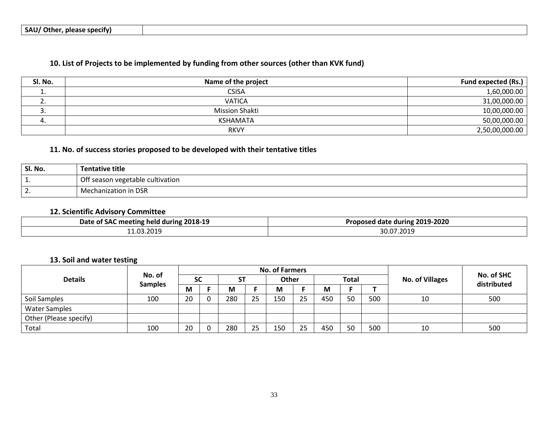### **10. List of Projects to be implemented by funding from other sources (other than KVK fund)**

| Sl. No.       | Name of the project   | <b>Fund expected (Rs.)</b> |
|---------------|-----------------------|----------------------------|
| <u>. на с</u> | <b>CSISA</b>          | 1,60,000.00                |
| ـ ـ           | <b>VATICA</b>         | 31,00,000.00               |
| ، ب           | <b>Mission Shakti</b> | 10,00,000.00               |
|               | <b>KSHAMATA</b>       | 50,00,000.00               |
|               | <b>RKVY</b>           | 2,50,00,000.00             |

### **11. No. of success stories proposed to be developed with their tentative titles**

| Sl. No.  | Tentative title                  |
|----------|----------------------------------|
| ᆠ.       | Off season vegetable cultivation |
| <u>.</u> | <b>Mechanization in DSR</b>      |

### **12. Scientific Advisory Committee**

| 2018-19<br>Date of<br>f SAC meeting held during | 2019-2020<br><b>Proposed date during</b> |  |  |  |
|-------------------------------------------------|------------------------------------------|--|--|--|
| .2019                                           | 07.2019                                  |  |  |  |
| - 1.03                                          | $\sim$                                   |  |  |  |

### **13. Soil and water testing**

|                        | No. of<br><b>Samples</b> | <b>No. of Farmers</b> |  |     |    |              |    |              |    |     |                        |                           |
|------------------------|--------------------------|-----------------------|--|-----|----|--------------|----|--------------|----|-----|------------------------|---------------------------|
| <b>Details</b>         |                          | <b>SC</b>             |  | SΤ  |    | <b>Other</b> |    | <b>Total</b> |    |     | <b>No. of Villages</b> | No. of SHC<br>distributed |
|                        |                          | M                     |  | М   |    | M            |    | М            |    |     |                        |                           |
| Soil Samples           | 100                      | 20                    |  | 280 | 25 | 150          | 25 | 450          | 50 | 500 | 10                     | 500                       |
| <b>Water Samples</b>   |                          |                       |  |     |    |              |    |              |    |     |                        |                           |
| Other (Please specify) |                          |                       |  |     |    |              |    |              |    |     |                        |                           |
| Total                  | 100                      | 20                    |  | 280 | 25 | 150          | 25 | 450          | 50 | 500 | 10                     | 500                       |